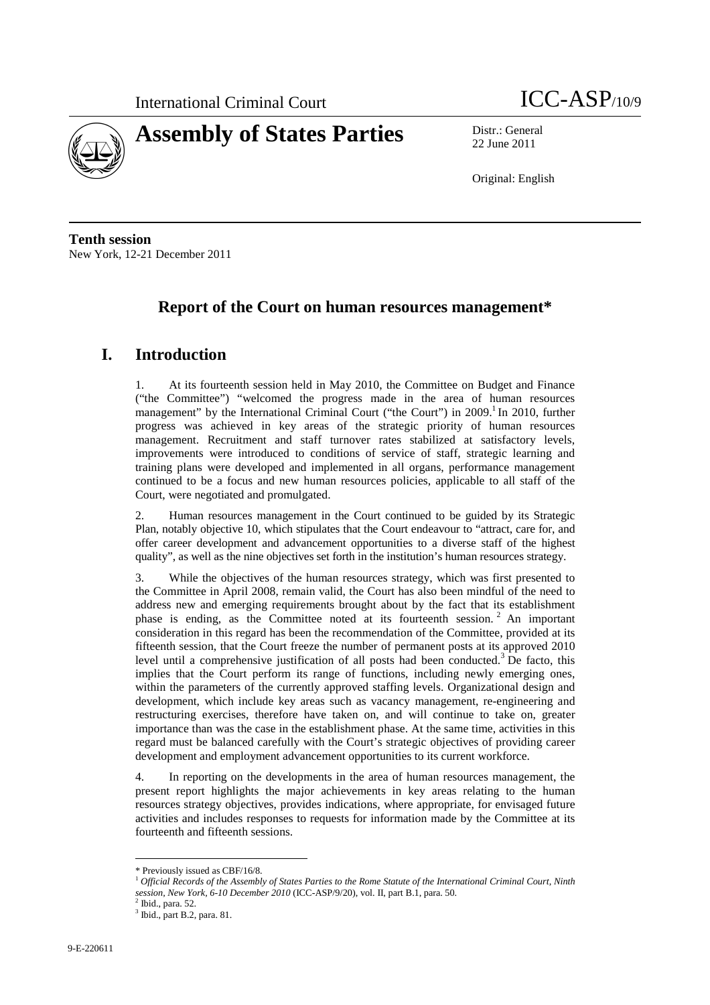



22 June 2011

Original: English

**Tenth session**  New York, 12-21 December 2011

# **Report of the Court on human resources management\***

# **I. Introduction**

1. At its fourteenth session held in May 2010, the Committee on Budget and Finance ("the Committee") "welcomed the progress made in the area of human resources management" by the International Criminal Court ("the Court") in  $2009$ .<sup>1</sup> In 2010, further progress was achieved in key areas of the strategic priority of human resources management. Recruitment and staff turnover rates stabilized at satisfactory levels, improvements were introduced to conditions of service of staff, strategic learning and training plans were developed and implemented in all organs, performance management continued to be a focus and new human resources policies, applicable to all staff of the Court, were negotiated and promulgated.

2. Human resources management in the Court continued to be guided by its Strategic Plan, notably objective 10, which stipulates that the Court endeavour to "attract, care for, and offer career development and advancement opportunities to a diverse staff of the highest quality", as well as the nine objectives set forth in the institution's human resources strategy.

3. While the objectives of the human resources strategy, which was first presented to the Committee in April 2008, remain valid, the Court has also been mindful of the need to address new and emerging requirements brought about by the fact that its establishment phase is ending, as the Committee noted at its fourteenth session.<sup>2</sup> An important consideration in this regard has been the recommendation of the Committee, provided at its fifteenth session, that the Court freeze the number of permanent posts at its approved 2010 level until a comprehensive justification of all posts had been conducted.<sup>3</sup> De facto, this implies that the Court perform its range of functions, including newly emerging ones, within the parameters of the currently approved staffing levels. Organizational design and development, which include key areas such as vacancy management, re-engineering and restructuring exercises, therefore have taken on, and will continue to take on, greater importance than was the case in the establishment phase. At the same time, activities in this regard must be balanced carefully with the Court's strategic objectives of providing career development and employment advancement opportunities to its current workforce.

4. In reporting on the developments in the area of human resources management, the present report highlights the major achievements in key areas relating to the human resources strategy objectives, provides indications, where appropriate, for envisaged future activities and includes responses to requests for information made by the Committee at its fourteenth and fifteenth sessions.

<sup>\*</sup> Previously issued as CBF/16/8.

<sup>1</sup> *Official Records of the Assembly of States Parties to the Rome Statute of the International Criminal Court, Ninth session, New York, 6-10 December 2010* (ICC-ASP/9/20), vol. II, part B.1, para. 50.<br><sup>2</sup> Ibid., para. 52

Ibid., para. 52.

<sup>3</sup> Ibid., part B.2, para. 81.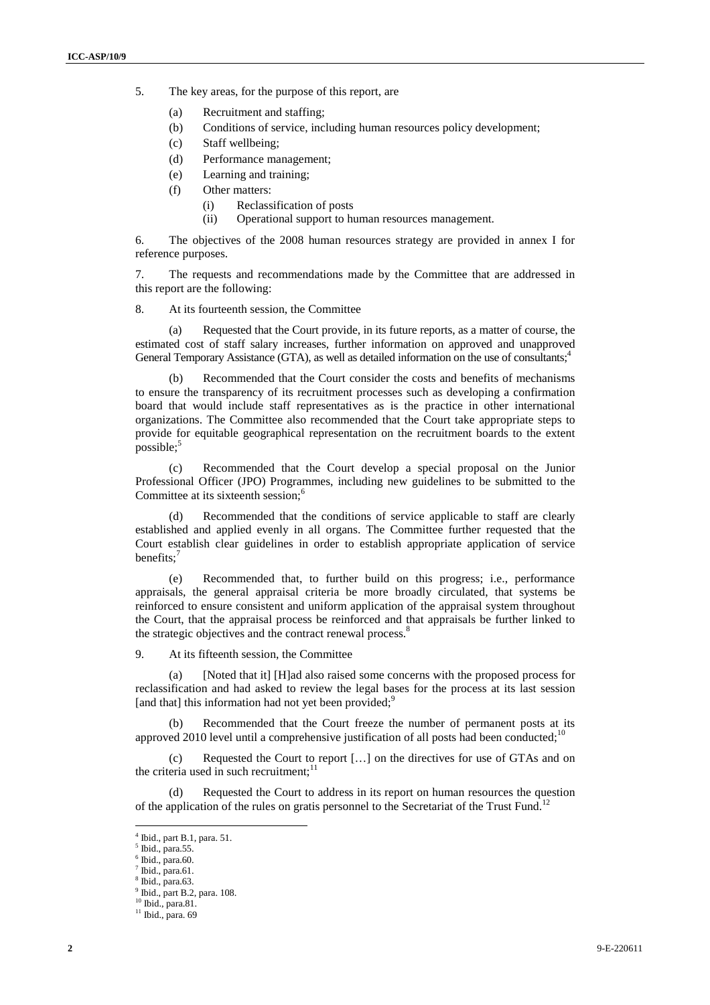- 5. The key areas, for the purpose of this report, are
	- (a) Recruitment and staffing;
	- (b) Conditions of service, including human resources policy development;
	- (c) Staff wellbeing;
	- (d) Performance management;
	- (e) Learning and training;
	- (f) Other matters:
		- (i) Reclassification of posts
		- (ii) Operational support to human resources management.

6. The objectives of the 2008 human resources strategy are provided in annex I for reference purposes.

7. The requests and recommendations made by the Committee that are addressed in this report are the following:

8. At its fourteenth session, the Committee

(a) Requested that the Court provide, in its future reports, as a matter of course, the estimated cost of staff salary increases, further information on approved and unapproved General Temporary Assistance (GTA), as well as detailed information on the use of consultants;<sup>4</sup>

(b) Recommended that the Court consider the costs and benefits of mechanisms to ensure the transparency of its recruitment processes such as developing a confirmation board that would include staff representatives as is the practice in other international organizations. The Committee also recommended that the Court take appropriate steps to provide for equitable geographical representation on the recruitment boards to the extent possible;<sup>5</sup>

(c) Recommended that the Court develop a special proposal on the Junior Professional Officer (JPO) Programmes, including new guidelines to be submitted to the Committee at its sixteenth session;<sup>6</sup>

(d) Recommended that the conditions of service applicable to staff are clearly established and applied evenly in all organs. The Committee further requested that the Court establish clear guidelines in order to establish appropriate application of service benefits:<sup>7</sup>

(e) Recommended that, to further build on this progress; i.e., performance appraisals, the general appraisal criteria be more broadly circulated, that systems be reinforced to ensure consistent and uniform application of the appraisal system throughout the Court, that the appraisal process be reinforced and that appraisals be further linked to the strategic objectives and the contract renewal process.<sup>8</sup>

9. At its fifteenth session, the Committee

(a) [Noted that it] [H]ad also raised some concerns with the proposed process for reclassification and had asked to review the legal bases for the process at its last session [and that] this information had not yet been provided; $\frac{9}{2}$ 

(b) Recommended that the Court freeze the number of permanent posts at its approved 2010 level until a comprehensive justification of all posts had been conducted;<sup>10</sup>

(c) Requested the Court to report […] on the directives for use of GTAs and on the criteria used in such recruitment;<sup>11</sup>

(d) Requested the Court to address in its report on human resources the question of the application of the rules on gratis personnel to the Secretariat of the Trust Fund.<sup>12</sup>

<sup>4</sup> Ibid., part B.1, para. 51.

<sup>5</sup> Ibid., para.55.

 $6$  Ibid., para.60.

 $<sup>7</sup>$  Ibid., para.61.</sup>

<sup>8</sup> Ibid., para.63. 9 Ibid., part B.2, para. 108.

<sup>10</sup> Ibid., para.81.

<sup>&</sup>lt;sup>11</sup> Ibid., para. 69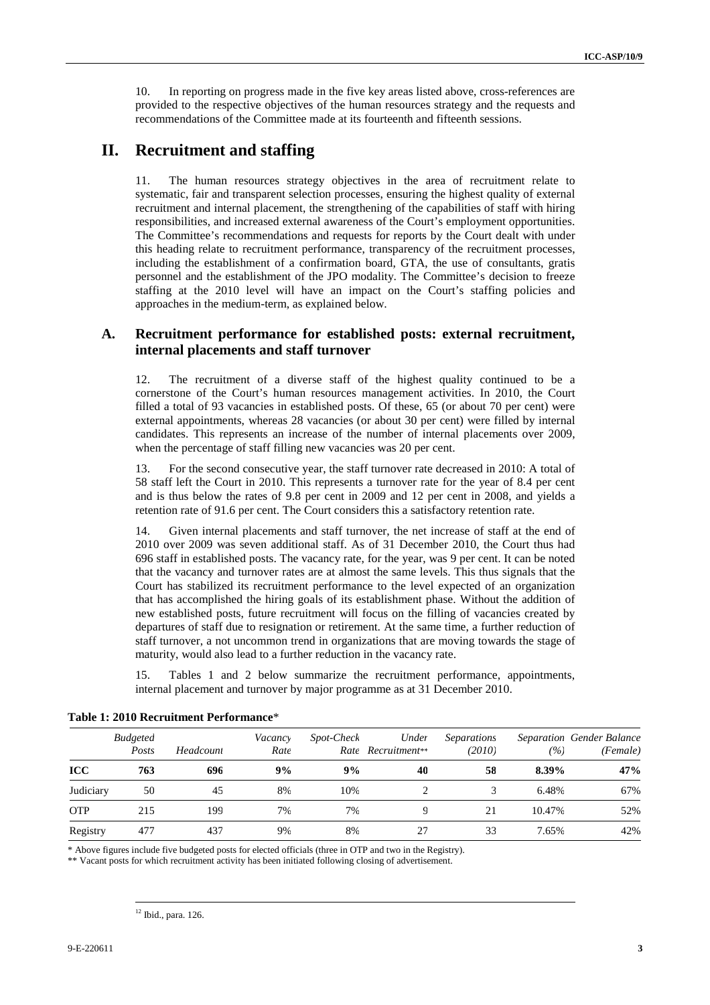10. In reporting on progress made in the five key areas listed above, cross-references are provided to the respective objectives of the human resources strategy and the requests and recommendations of the Committee made at its fourteenth and fifteenth sessions.

## **II. Recruitment and staffing**

11. The human resources strategy objectives in the area of recruitment relate to systematic, fair and transparent selection processes, ensuring the highest quality of external recruitment and internal placement, the strengthening of the capabilities of staff with hiring responsibilities, and increased external awareness of the Court's employment opportunities. The Committee's recommendations and requests for reports by the Court dealt with under this heading relate to recruitment performance, transparency of the recruitment processes, including the establishment of a confirmation board, GTA, the use of consultants, gratis personnel and the establishment of the JPO modality. The Committee's decision to freeze staffing at the 2010 level will have an impact on the Court's staffing policies and approaches in the medium-term, as explained below.

## **A. Recruitment performance for established posts: external recruitment, internal placements and staff turnover**

12. The recruitment of a diverse staff of the highest quality continued to be a cornerstone of the Court's human resources management activities. In 2010, the Court filled a total of 93 vacancies in established posts. Of these, 65 (or about 70 per cent) were external appointments, whereas 28 vacancies (or about 30 per cent) were filled by internal candidates. This represents an increase of the number of internal placements over 2009, when the percentage of staff filling new vacancies was 20 per cent.

For the second consecutive year, the staff turnover rate decreased in 2010: A total of 58 staff left the Court in 2010. This represents a turnover rate for the year of 8.4 per cent and is thus below the rates of 9.8 per cent in 2009 and 12 per cent in 2008, and yields a retention rate of 91.6 per cent. The Court considers this a satisfactory retention rate.

14. Given internal placements and staff turnover, the net increase of staff at the end of 2010 over 2009 was seven additional staff. As of 31 December 2010, the Court thus had 696 staff in established posts. The vacancy rate, for the year, was 9 per cent. It can be noted that the vacancy and turnover rates are at almost the same levels. This thus signals that the Court has stabilized its recruitment performance to the level expected of an organization that has accomplished the hiring goals of its establishment phase. Without the addition of new established posts, future recruitment will focus on the filling of vacancies created by departures of staff due to resignation or retirement. At the same time, a further reduction of staff turnover, a not uncommon trend in organizations that are moving towards the stage of maturity, would also lead to a further reduction in the vacancy rate.

15. Tables 1 and 2 below summarize the recruitment performance, appointments, internal placement and turnover by major programme as at 31 December 2010.

|            | <b>Budgeted</b><br>Posts | Headcount | Vacancy<br>Rate | Under<br><i>Spot-Check</i><br>Separations<br>(2010)<br>Rate Recruitment** |    |    |        | Separation Gender Balance<br>(Female) |
|------------|--------------------------|-----------|-----------------|---------------------------------------------------------------------------|----|----|--------|---------------------------------------|
| <b>ICC</b> | 763                      | 696       | 9%              | 9%                                                                        | 40 | 58 | 8.39%  | 47%                                   |
| Judiciary  | 50                       | 45        | 8%              | 10%                                                                       |    |    | 6.48%  | 67%                                   |
| <b>OTP</b> | 215                      | 199       | 7%              | 7%                                                                        |    | 21 | 10.47% | 52%                                   |
| Registry   | 477                      | 437       | 9%              | 8%                                                                        | 27 | 33 | 7.65%  | 42%                                   |

### **Table 1: 2010 Recruitment Performance**\*

\* Above figures include five budgeted posts for elected officials (three in OTP and two in the Registry).

\*\* Vacant posts for which recruitment activity has been initiated following closing of advertisement.

 $\overline{a}$ <sup>12</sup> Ibid., para. 126.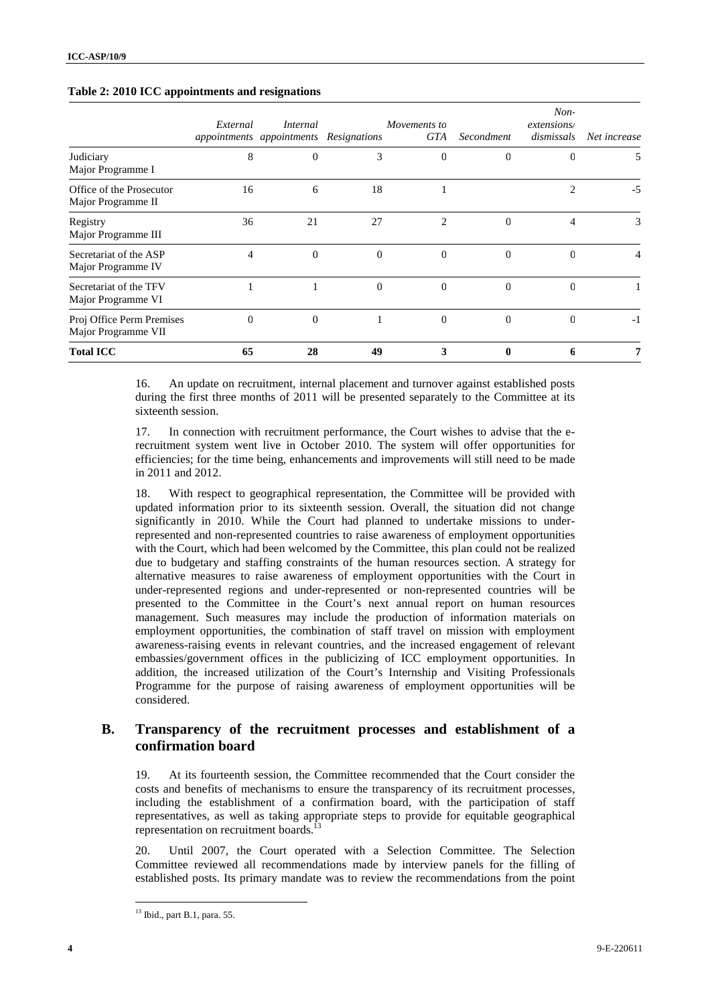|                                                  | External | Internal<br>appointments appointments Resignations |                | Movements to<br>GTA | Secondment     | $Non-$<br>extensions/<br>dismissals | Net increase |
|--------------------------------------------------|----------|----------------------------------------------------|----------------|---------------------|----------------|-------------------------------------|--------------|
| Judiciary<br>Major Programme I                   | 8        | $\mathbf 0$                                        | 3              | $\theta$            | 0              | $\theta$                            | 5            |
| Office of the Prosecutor<br>Major Programme II   | 16       | 6                                                  | 18             |                     |                | $\overline{c}$                      | $-5$         |
| Registry<br>Major Programme III                  | 36       | 21                                                 | 27             | $\mathfrak{D}$      | $\Omega$       | 4                                   | 3            |
| Secretariat of the ASP<br>Major Programme IV     | 4        | $\mathbf 0$                                        | $\overline{0}$ | $\Omega$            | $\overline{0}$ | $\theta$                            | 4            |
| Secretariat of the TFV<br>Major Programme VI     |          |                                                    | $\overline{0}$ | $\Omega$            | $\overline{0}$ | $\Omega$                            |              |
| Proj Office Perm Premises<br>Major Programme VII | $\Omega$ | 0                                                  |                | $\Omega$            | $\Omega$       | $\Omega$                            | $-1$         |
| <b>Total ICC</b>                                 | 65       | 28                                                 | 49             | 3                   | 0              | 6                                   | 7            |

#### **Table 2: 2010 ICC appointments and resignations**

16. An update on recruitment, internal placement and turnover against established posts during the first three months of 2011 will be presented separately to the Committee at its sixteenth session.

17. In connection with recruitment performance, the Court wishes to advise that the erecruitment system went live in October 2010. The system will offer opportunities for efficiencies; for the time being, enhancements and improvements will still need to be made in 2011 and 2012.

18. With respect to geographical representation, the Committee will be provided with updated information prior to its sixteenth session. Overall, the situation did not change significantly in 2010. While the Court had planned to undertake missions to underrepresented and non-represented countries to raise awareness of employment opportunities with the Court, which had been welcomed by the Committee, this plan could not be realized due to budgetary and staffing constraints of the human resources section. A strategy for alternative measures to raise awareness of employment opportunities with the Court in under-represented regions and under-represented or non-represented countries will be presented to the Committee in the Court's next annual report on human resources management. Such measures may include the production of information materials on employment opportunities, the combination of staff travel on mission with employment awareness-raising events in relevant countries, and the increased engagement of relevant embassies/government offices in the publicizing of ICC employment opportunities. In addition, the increased utilization of the Court's Internship and Visiting Professionals Programme for the purpose of raising awareness of employment opportunities will be considered.

## **B. Transparency of the recruitment processes and establishment of a confirmation board**

19. At its fourteenth session, the Committee recommended that the Court consider the costs and benefits of mechanisms to ensure the transparency of its recruitment processes, including the establishment of a confirmation board, with the participation of staff representatives, as well as taking appropriate steps to provide for equitable geographical representation on recruitment boards.<sup>13</sup>

20. Until 2007, the Court operated with a Selection Committee. The Selection Committee reviewed all recommendations made by interview panels for the filling of established posts. Its primary mandate was to review the recommendations from the point

<sup>13</sup> Ibid., part B.1, para. 55.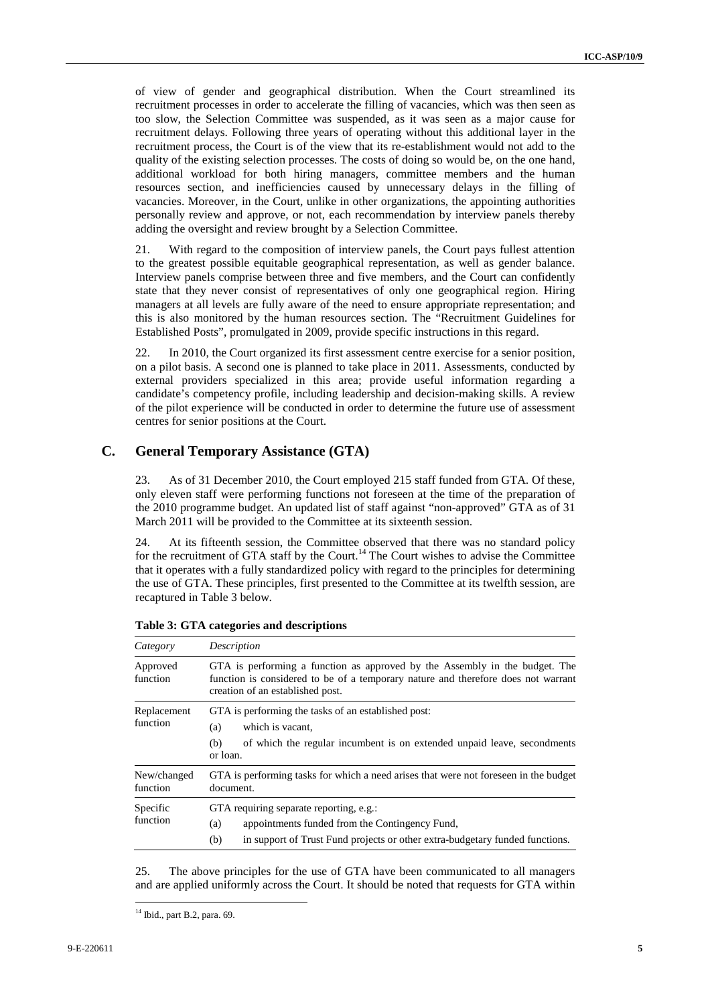of view of gender and geographical distribution. When the Court streamlined its recruitment processes in order to accelerate the filling of vacancies, which was then seen as too slow, the Selection Committee was suspended, as it was seen as a major cause for recruitment delays. Following three years of operating without this additional layer in the recruitment process, the Court is of the view that its re-establishment would not add to the quality of the existing selection processes. The costs of doing so would be, on the one hand, additional workload for both hiring managers, committee members and the human resources section, and inefficiencies caused by unnecessary delays in the filling of vacancies. Moreover, in the Court, unlike in other organizations, the appointing authorities personally review and approve, or not, each recommendation by interview panels thereby adding the oversight and review brought by a Selection Committee.

21. With regard to the composition of interview panels, the Court pays fullest attention to the greatest possible equitable geographical representation, as well as gender balance. Interview panels comprise between three and five members, and the Court can confidently state that they never consist of representatives of only one geographical region. Hiring managers at all levels are fully aware of the need to ensure appropriate representation; and this is also monitored by the human resources section. The "Recruitment Guidelines for Established Posts", promulgated in 2009, provide specific instructions in this regard.

22. In 2010, the Court organized its first assessment centre exercise for a senior position, on a pilot basis. A second one is planned to take place in 2011. Assessments, conducted by external providers specialized in this area; provide useful information regarding a candidate's competency profile, including leadership and decision-making skills. A review of the pilot experience will be conducted in order to determine the future use of assessment centres for senior positions at the Court.

## **C. General Temporary Assistance (GTA)**

23. As of 31 December 2010, the Court employed 215 staff funded from GTA. Of these, only eleven staff were performing functions not foreseen at the time of the preparation of the 2010 programme budget. An updated list of staff against "non-approved" GTA as of 31 March 2011 will be provided to the Committee at its sixteenth session.

24. At its fifteenth session, the Committee observed that there was no standard policy for the recruitment of GTA staff by the Court.<sup>14</sup> The Court wishes to advise the Committee that it operates with a fully standardized policy with regard to the principles for determining the use of GTA. These principles, first presented to the Committee at its twelfth session, are recaptured in Table 3 below.

| Category                | Description                                                                                                                                                                                          |  |  |  |  |  |  |
|-------------------------|------------------------------------------------------------------------------------------------------------------------------------------------------------------------------------------------------|--|--|--|--|--|--|
| Approved<br>function    | GTA is performing a function as approved by the Assembly in the budget. The<br>function is considered to be of a temporary nature and therefore does not warrant<br>creation of an established post. |  |  |  |  |  |  |
| Replacement<br>function | GTA is performing the tasks of an established post:<br>which is vacant,<br>(a)<br>of which the regular incumbent is on extended unpaid leave, second ments<br>(b)<br>or loan.                        |  |  |  |  |  |  |
| New/changed<br>function | GTA is performing tasks for which a need arises that were not foreseen in the budget<br>document.                                                                                                    |  |  |  |  |  |  |
| Specific<br>function    | GTA requiring separate reporting, e.g.:<br>appointments funded from the Contingency Fund,<br>(a)<br>in support of Trust Fund projects or other extra-budgetary funded functions.<br>(b)              |  |  |  |  |  |  |

**Table 3: GTA categories and descriptions** 

25. The above principles for the use of GTA have been communicated to all managers and are applied uniformly across the Court. It should be noted that requests for GTA within

<sup>14</sup> Ibid., part B.2, para. 69.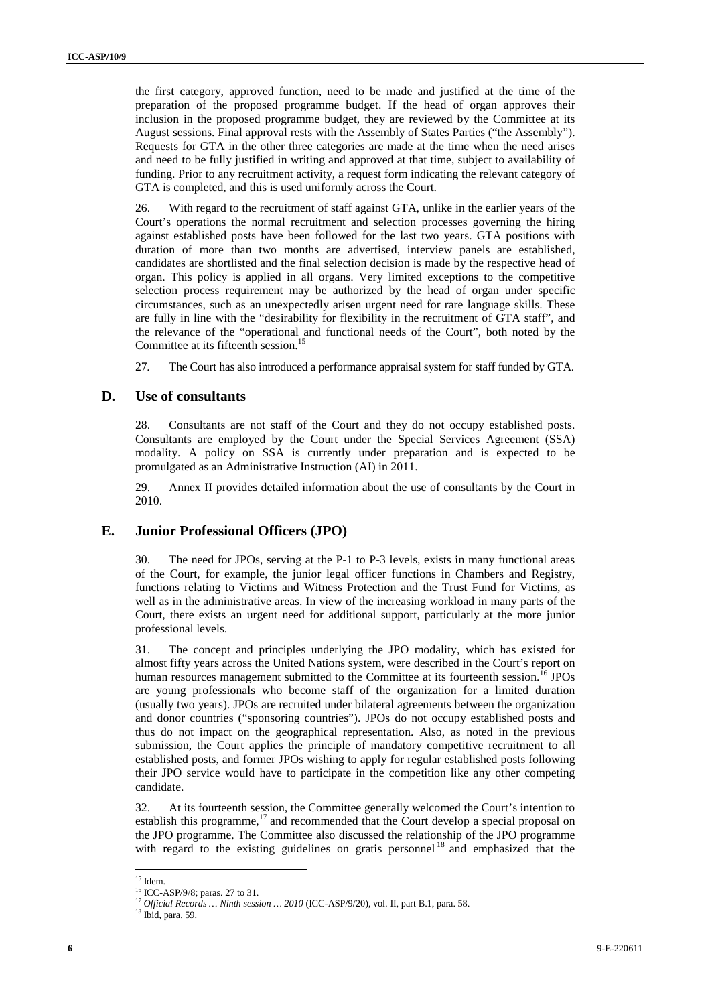the first category, approved function, need to be made and justified at the time of the preparation of the proposed programme budget. If the head of organ approves their inclusion in the proposed programme budget, they are reviewed by the Committee at its August sessions. Final approval rests with the Assembly of States Parties ("the Assembly"). Requests for GTA in the other three categories are made at the time when the need arises and need to be fully justified in writing and approved at that time, subject to availability of funding. Prior to any recruitment activity, a request form indicating the relevant category of GTA is completed, and this is used uniformly across the Court.

26. With regard to the recruitment of staff against GTA, unlike in the earlier years of the Court's operations the normal recruitment and selection processes governing the hiring against established posts have been followed for the last two years. GTA positions with duration of more than two months are advertised, interview panels are established, candidates are shortlisted and the final selection decision is made by the respective head of organ. This policy is applied in all organs. Very limited exceptions to the competitive selection process requirement may be authorized by the head of organ under specific circumstances, such as an unexpectedly arisen urgent need for rare language skills. These are fully in line with the "desirability for flexibility in the recruitment of GTA staff", and the relevance of the "operational and functional needs of the Court", both noted by the Committee at its fifteenth session.<sup>15</sup>

27. The Court has also introduced a performance appraisal system for staff funded by GTA.

### **D. Use of consultants**

28. Consultants are not staff of the Court and they do not occupy established posts. Consultants are employed by the Court under the Special Services Agreement (SSA) modality. A policy on SSA is currently under preparation and is expected to be promulgated as an Administrative Instruction (AI) in 2011.

29. Annex II provides detailed information about the use of consultants by the Court in 2010.

### **E. Junior Professional Officers (JPO)**

30. The need for JPOs, serving at the P-1 to P-3 levels, exists in many functional areas of the Court, for example, the junior legal officer functions in Chambers and Registry, functions relating to Victims and Witness Protection and the Trust Fund for Victims, as well as in the administrative areas. In view of the increasing workload in many parts of the Court, there exists an urgent need for additional support, particularly at the more junior professional levels.

31. The concept and principles underlying the JPO modality, which has existed for almost fifty years across the United Nations system, were described in the Court's report on human resources management submitted to the Committee at its fourteenth session.<sup>16</sup> JPOs are young professionals who become staff of the organization for a limited duration (usually two years). JPOs are recruited under bilateral agreements between the organization and donor countries ("sponsoring countries"). JPOs do not occupy established posts and thus do not impact on the geographical representation. Also, as noted in the previous submission, the Court applies the principle of mandatory competitive recruitment to all established posts, and former JPOs wishing to apply for regular established posts following their JPO service would have to participate in the competition like any other competing candidate.

32. At its fourteenth session, the Committee generally welcomed the Court's intention to establish this programme, $17$  and recommended that the Court develop a special proposal on the JPO programme. The Committee also discussed the relationship of the JPO programme with regard to the existing guidelines on gratis personnel<sup>18</sup> and emphasized that the

 $15$  Idem.

<sup>16</sup> ICC-ASP/9/8; paras. 27 to 31.

<sup>17</sup> *Official Records … Ninth session … 2010* (ICC-ASP/9/20), vol. II, part B.1, para. 58.

<sup>18</sup> Ibid, para. 59.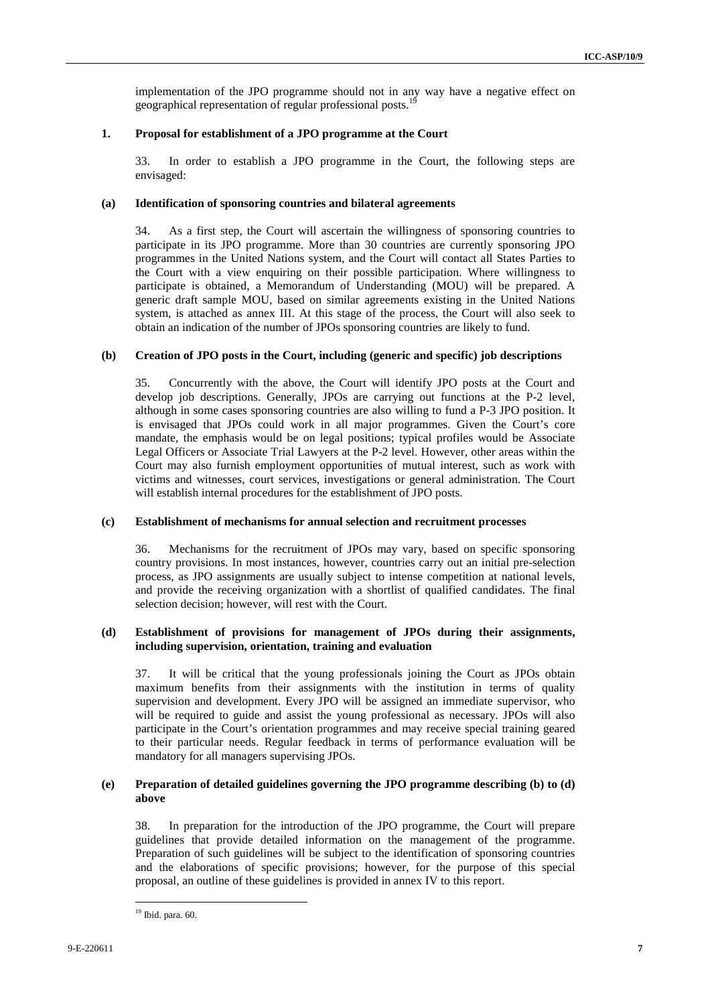implementation of the JPO programme should not in any way have a negative effect on geographical representation of regular professional posts.<sup>19</sup>

### **1. Proposal for establishment of a JPO programme at the Court**

33. In order to establish a JPO programme in the Court, the following steps are envisaged:

### **(a) Identification of sponsoring countries and bilateral agreements**

34. As a first step, the Court will ascertain the willingness of sponsoring countries to participate in its JPO programme. More than 30 countries are currently sponsoring JPO programmes in the United Nations system, and the Court will contact all States Parties to the Court with a view enquiring on their possible participation. Where willingness to participate is obtained, a Memorandum of Understanding (MOU) will be prepared. A generic draft sample MOU, based on similar agreements existing in the United Nations system, is attached as annex III. At this stage of the process, the Court will also seek to obtain an indication of the number of JPOs sponsoring countries are likely to fund.

### **(b) Creation of JPO posts in the Court, including (generic and specific) job descriptions**

35. Concurrently with the above, the Court will identify JPO posts at the Court and develop job descriptions. Generally, JPOs are carrying out functions at the P-2 level, although in some cases sponsoring countries are also willing to fund a P-3 JPO position. It is envisaged that JPOs could work in all major programmes. Given the Court's core mandate, the emphasis would be on legal positions; typical profiles would be Associate Legal Officers or Associate Trial Lawyers at the P-2 level. However, other areas within the Court may also furnish employment opportunities of mutual interest, such as work with victims and witnesses, court services, investigations or general administration. The Court will establish internal procedures for the establishment of JPO posts.

#### **(c) Establishment of mechanisms for annual selection and recruitment processes**

36. Mechanisms for the recruitment of JPOs may vary, based on specific sponsoring country provisions. In most instances, however, countries carry out an initial pre-selection process, as JPO assignments are usually subject to intense competition at national levels, and provide the receiving organization with a shortlist of qualified candidates. The final selection decision; however, will rest with the Court.

### **(d) Establishment of provisions for management of JPOs during their assignments, including supervision, orientation, training and evaluation**

37. It will be critical that the young professionals joining the Court as JPOs obtain maximum benefits from their assignments with the institution in terms of quality supervision and development. Every JPO will be assigned an immediate supervisor, who will be required to guide and assist the young professional as necessary. JPOs will also participate in the Court's orientation programmes and may receive special training geared to their particular needs. Regular feedback in terms of performance evaluation will be mandatory for all managers supervising JPOs.

### **(e) Preparation of detailed guidelines governing the JPO programme describing (b) to (d) above**

38. In preparation for the introduction of the JPO programme, the Court will prepare guidelines that provide detailed information on the management of the programme. Preparation of such guidelines will be subject to the identification of sponsoring countries and the elaborations of specific provisions; however, for the purpose of this special proposal, an outline of these guidelines is provided in annex IV to this report.

 $\overline{a}$ <sup>19</sup> Ibid. para. 60.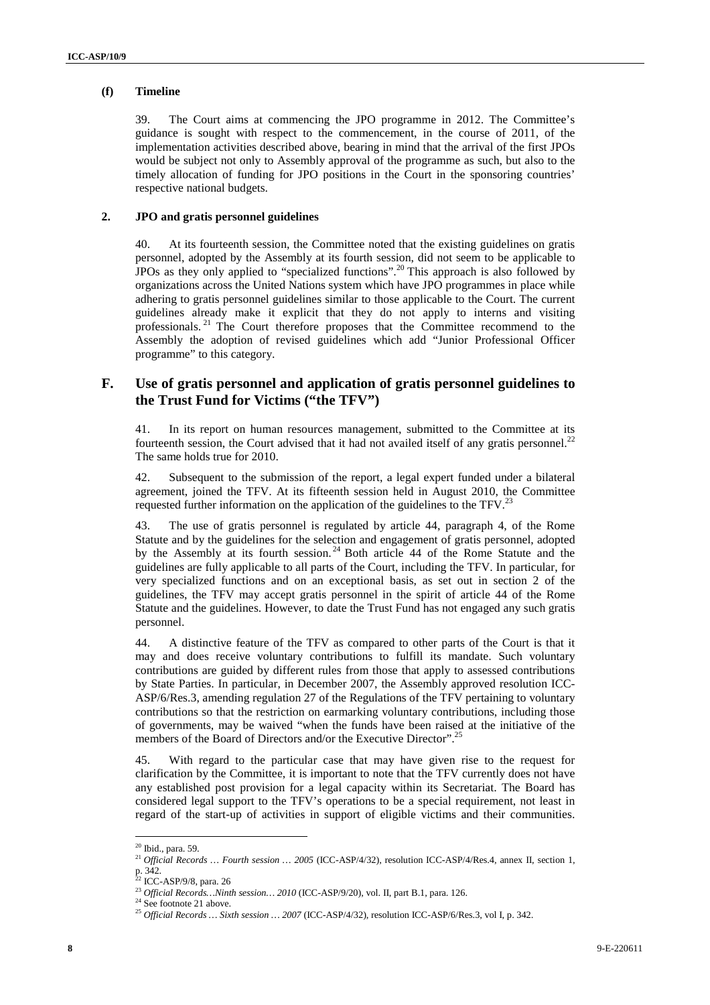### **(f) Timeline**

39. The Court aims at commencing the JPO programme in 2012. The Committee's guidance is sought with respect to the commencement, in the course of 2011, of the implementation activities described above, bearing in mind that the arrival of the first JPOs would be subject not only to Assembly approval of the programme as such, but also to the timely allocation of funding for JPO positions in the Court in the sponsoring countries' respective national budgets.

### **2. JPO and gratis personnel guidelines**

40. At its fourteenth session, the Committee noted that the existing guidelines on gratis personnel, adopted by the Assembly at its fourth session, did not seem to be applicable to JPOs as they only applied to "specialized functions".<sup>20</sup> This approach is also followed by organizations across the United Nations system which have JPO programmes in place while adhering to gratis personnel guidelines similar to those applicable to the Court. The current guidelines already make it explicit that they do not apply to interns and visiting professionals. <sup>21</sup> The Court therefore proposes that the Committee recommend to the Assembly the adoption of revised guidelines which add "Junior Professional Officer programme" to this category.

### **F. Use of gratis personnel and application of gratis personnel guidelines to the Trust Fund for Victims ("the TFV")**

41. In its report on human resources management, submitted to the Committee at its fourteenth session, the Court advised that it had not availed itself of any gratis personnel.<sup>2</sup> The same holds true for 2010.

42. Subsequent to the submission of the report, a legal expert funded under a bilateral agreement, joined the TFV. At its fifteenth session held in August 2010, the Committee requested further information on the application of the guidelines to the TFV.<sup>23</sup>

43. The use of gratis personnel is regulated by article 44, paragraph 4, of the Rome Statute and by the guidelines for the selection and engagement of gratis personnel, adopted by the Assembly at its fourth session.<sup>24</sup> Both article 44 of the Rome Statute and the guidelines are fully applicable to all parts of the Court, including the TFV. In particular, for very specialized functions and on an exceptional basis, as set out in section 2 of the guidelines, the TFV may accept gratis personnel in the spirit of article 44 of the Rome Statute and the guidelines. However, to date the Trust Fund has not engaged any such gratis personnel.

44. A distinctive feature of the TFV as compared to other parts of the Court is that it may and does receive voluntary contributions to fulfill its mandate. Such voluntary contributions are guided by different rules from those that apply to assessed contributions by State Parties. In particular, in December 2007, the Assembly approved resolution ICC-ASP/6/Res.3, amending regulation 27 of the Regulations of the TFV pertaining to voluntary contributions so that the restriction on earmarking voluntary contributions, including those of governments, may be waived "when the funds have been raised at the initiative of the members of the Board of Directors and/or the Executive Director".<sup>25</sup>

45. With regard to the particular case that may have given rise to the request for clarification by the Committee, it is important to note that the TFV currently does not have any established post provision for a legal capacity within its Secretariat. The Board has considered legal support to the TFV's operations to be a special requirement, not least in regard of the start-up of activities in support of eligible victims and their communities.

<sup>&</sup>lt;sup>20</sup> Ibid., para. 59.

<sup>21</sup> *Official Records … Fourth session … 2005* (ICC-ASP/4/32), resolution ICC-ASP/4/Res.4, annex II, section 1,

p. 342.<br><sup>22</sup> ICC-ASP/9/8, para. 26

<sup>23</sup> *Official Records…Ninth session… 2010* (ICC-ASP/9/20), vol. II, part B.1, para. 126.

 $24$  See footnote 21 above.

<sup>25</sup> *Official Records … Sixth session … 2007* (ICC-ASP/4/32), resolution ICC-ASP/6/Res.3, vol I, p. 342.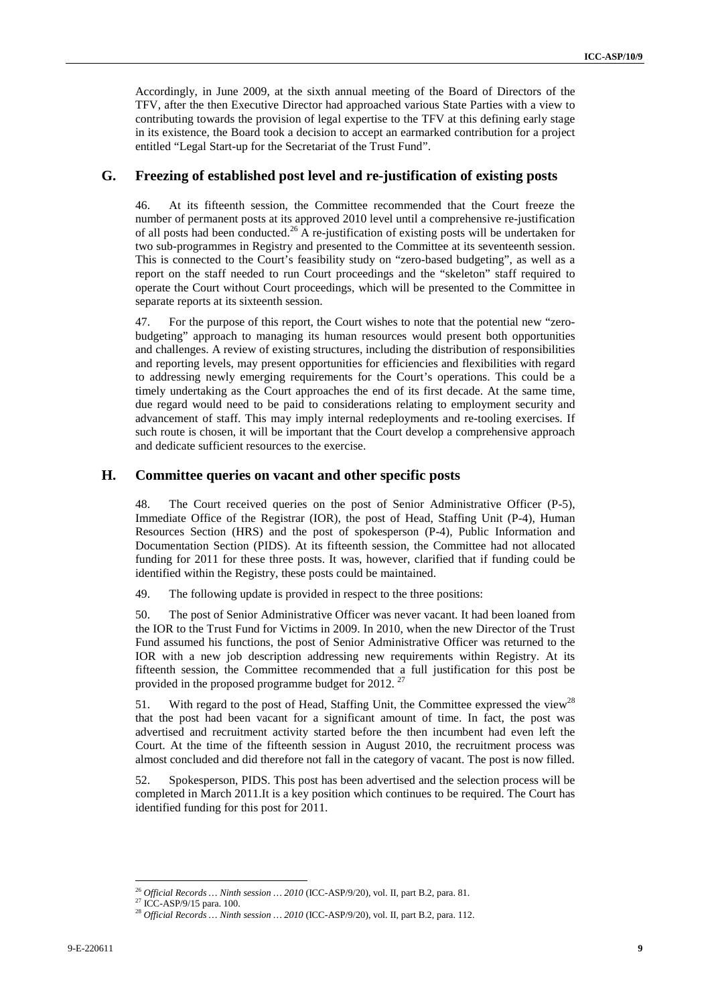Accordingly, in June 2009, at the sixth annual meeting of the Board of Directors of the TFV, after the then Executive Director had approached various State Parties with a view to contributing towards the provision of legal expertise to the TFV at this defining early stage in its existence, the Board took a decision to accept an earmarked contribution for a project entitled "Legal Start-up for the Secretariat of the Trust Fund".

### **G. Freezing of established post level and re-justification of existing posts**

46. At its fifteenth session, the Committee recommended that the Court freeze the number of permanent posts at its approved 2010 level until a comprehensive re-justification of all posts had been conducted.<sup>26</sup> A re-justification of existing posts will be undertaken for two sub-programmes in Registry and presented to the Committee at its seventeenth session. This is connected to the Court's feasibility study on "zero-based budgeting", as well as a report on the staff needed to run Court proceedings and the "skeleton" staff required to operate the Court without Court proceedings, which will be presented to the Committee in separate reports at its sixteenth session.

47. For the purpose of this report, the Court wishes to note that the potential new "zerobudgeting" approach to managing its human resources would present both opportunities and challenges. A review of existing structures, including the distribution of responsibilities and reporting levels, may present opportunities for efficiencies and flexibilities with regard to addressing newly emerging requirements for the Court's operations. This could be a timely undertaking as the Court approaches the end of its first decade. At the same time, due regard would need to be paid to considerations relating to employment security and advancement of staff. This may imply internal redeployments and re-tooling exercises. If such route is chosen, it will be important that the Court develop a comprehensive approach and dedicate sufficient resources to the exercise.

### **H. Committee queries on vacant and other specific posts**

48. The Court received queries on the post of Senior Administrative Officer (P-5), Immediate Office of the Registrar (IOR), the post of Head, Staffing Unit (P-4), Human Resources Section (HRS) and the post of spokesperson (P-4), Public Information and Documentation Section (PIDS). At its fifteenth session, the Committee had not allocated funding for 2011 for these three posts. It was, however, clarified that if funding could be identified within the Registry, these posts could be maintained.

49. The following update is provided in respect to the three positions:

50. The post of Senior Administrative Officer was never vacant. It had been loaned from the IOR to the Trust Fund for Victims in 2009. In 2010, when the new Director of the Trust Fund assumed his functions, the post of Senior Administrative Officer was returned to the IOR with a new job description addressing new requirements within Registry. At its fifteenth session, the Committee recommended that a full justification for this post be provided in the proposed programme budget for 2012.<sup>27</sup>

51. With regard to the post of Head, Staffing Unit, the Committee expressed the view<sup>28</sup> that the post had been vacant for a significant amount of time. In fact, the post was advertised and recruitment activity started before the then incumbent had even left the Court. At the time of the fifteenth session in August 2010, the recruitment process was almost concluded and did therefore not fall in the category of vacant. The post is now filled.

52. Spokesperson, PIDS. This post has been advertised and the selection process will be completed in March 2011.It is a key position which continues to be required. The Court has identified funding for this post for 2011.

 $\overline{a}$ <sup>26</sup> *Official Records … Ninth session … 2010* (ICC-ASP/9/20), vol. II, part B.2, para. 81.

<sup>&</sup>lt;sup>27</sup> ICC-ASP/9/15 para. 100.

<sup>28</sup> *Official Records … Ninth session … 2010* (ICC-ASP/9/20), vol. II, part B.2, para. 112.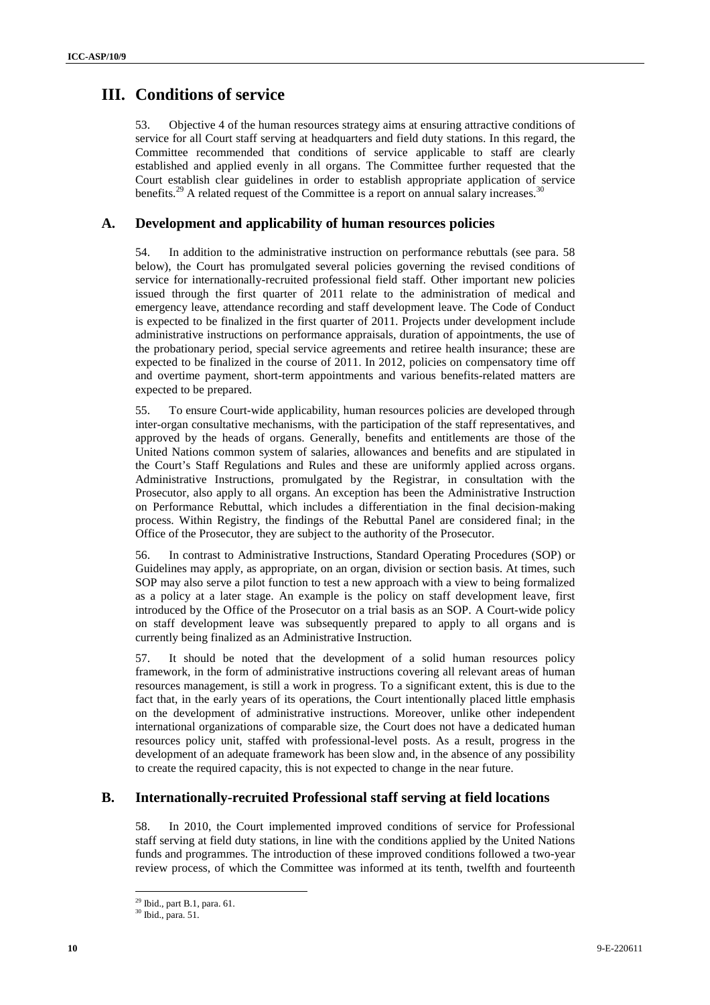# **III. Conditions of service**

53. Objective 4 of the human resources strategy aims at ensuring attractive conditions of service for all Court staff serving at headquarters and field duty stations. In this regard, the Committee recommended that conditions of service applicable to staff are clearly established and applied evenly in all organs. The Committee further requested that the Court establish clear guidelines in order to establish appropriate application of service benefits.<sup>29</sup> A related request of the Committee is a report on annual salary increases.<sup>3</sup>

## **A. Development and applicability of human resources policies**

54. In addition to the administrative instruction on performance rebuttals (see para. 58 below), the Court has promulgated several policies governing the revised conditions of service for internationally-recruited professional field staff. Other important new policies issued through the first quarter of 2011 relate to the administration of medical and emergency leave, attendance recording and staff development leave. The Code of Conduct is expected to be finalized in the first quarter of 2011. Projects under development include administrative instructions on performance appraisals, duration of appointments, the use of the probationary period, special service agreements and retiree health insurance; these are expected to be finalized in the course of 2011. In 2012, policies on compensatory time off and overtime payment, short-term appointments and various benefits-related matters are expected to be prepared.

55. To ensure Court-wide applicability, human resources policies are developed through inter-organ consultative mechanisms, with the participation of the staff representatives, and approved by the heads of organs. Generally, benefits and entitlements are those of the United Nations common system of salaries, allowances and benefits and are stipulated in the Court's Staff Regulations and Rules and these are uniformly applied across organs. Administrative Instructions, promulgated by the Registrar, in consultation with the Prosecutor, also apply to all organs. An exception has been the Administrative Instruction on Performance Rebuttal, which includes a differentiation in the final decision-making process. Within Registry, the findings of the Rebuttal Panel are considered final; in the Office of the Prosecutor, they are subject to the authority of the Prosecutor.

56. In contrast to Administrative Instructions, Standard Operating Procedures (SOP) or Guidelines may apply, as appropriate, on an organ, division or section basis. At times, such SOP may also serve a pilot function to test a new approach with a view to being formalized as a policy at a later stage. An example is the policy on staff development leave, first introduced by the Office of the Prosecutor on a trial basis as an SOP. A Court-wide policy on staff development leave was subsequently prepared to apply to all organs and is currently being finalized as an Administrative Instruction.

57. It should be noted that the development of a solid human resources policy framework, in the form of administrative instructions covering all relevant areas of human resources management, is still a work in progress. To a significant extent, this is due to the fact that, in the early years of its operations, the Court intentionally placed little emphasis on the development of administrative instructions. Moreover, unlike other independent international organizations of comparable size, the Court does not have a dedicated human resources policy unit, staffed with professional-level posts. As a result, progress in the development of an adequate framework has been slow and, in the absence of any possibility to create the required capacity, this is not expected to change in the near future.

### **B. Internationally-recruited Professional staff serving at field locations**

58. In 2010, the Court implemented improved conditions of service for Professional staff serving at field duty stations, in line with the conditions applied by the United Nations funds and programmes. The introduction of these improved conditions followed a two-year review process, of which the Committee was informed at its tenth, twelfth and fourteenth

 $29$  Ibid., part B.1, para. 61.

<sup>30</sup> Ibid., para. 51.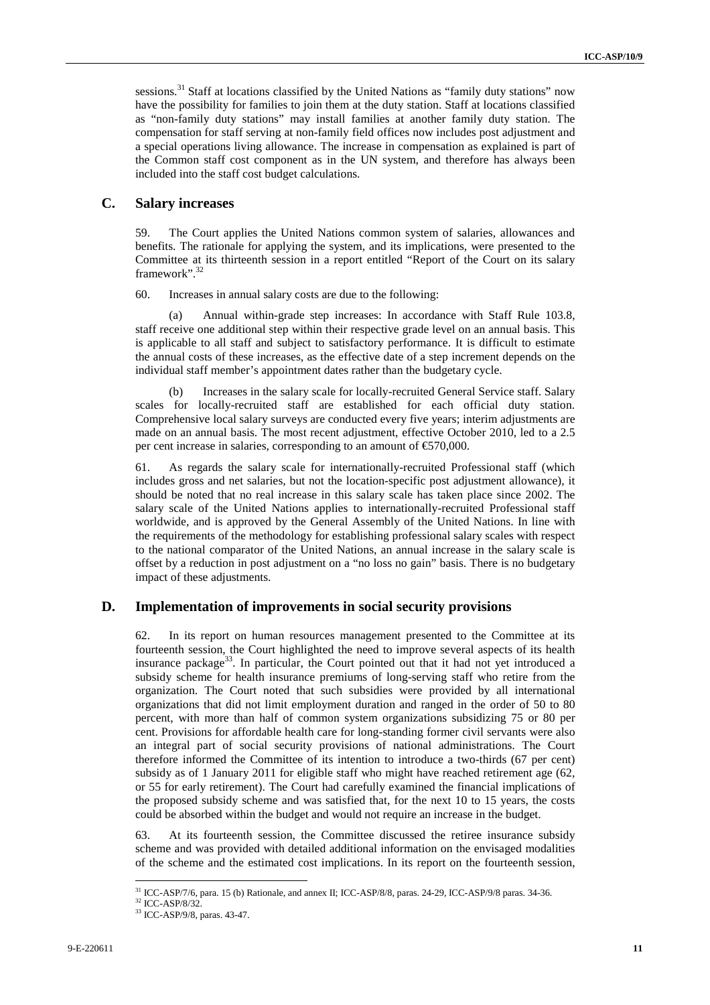sessions.<sup>31</sup> Staff at locations classified by the United Nations as "family duty stations" now have the possibility for families to join them at the duty station. Staff at locations classified as "non-family duty stations" may install families at another family duty station. The compensation for staff serving at non-family field offices now includes post adjustment and a special operations living allowance. The increase in compensation as explained is part of the Common staff cost component as in the UN system, and therefore has always been included into the staff cost budget calculations.

### **C. Salary increases**

59. The Court applies the United Nations common system of salaries, allowances and benefits. The rationale for applying the system, and its implications, were presented to the Committee at its thirteenth session in a report entitled "Report of the Court on its salary framework".<sup>32</sup>

60. Increases in annual salary costs are due to the following:

(a) Annual within-grade step increases: In accordance with Staff Rule 103.8, staff receive one additional step within their respective grade level on an annual basis. This is applicable to all staff and subject to satisfactory performance. It is difficult to estimate the annual costs of these increases, as the effective date of a step increment depends on the individual staff member's appointment dates rather than the budgetary cycle.

Increases in the salary scale for locally-recruited General Service staff. Salary scales for locally-recruited staff are established for each official duty station. Comprehensive local salary surveys are conducted every five years; interim adjustments are made on an annual basis. The most recent adjustment, effective October 2010, led to a 2.5 per cent increase in salaries, corresponding to an amount of €570,000.

61. As regards the salary scale for internationally-recruited Professional staff (which includes gross and net salaries, but not the location-specific post adjustment allowance), it should be noted that no real increase in this salary scale has taken place since 2002. The salary scale of the United Nations applies to internationally-recruited Professional staff worldwide, and is approved by the General Assembly of the United Nations. In line with the requirements of the methodology for establishing professional salary scales with respect to the national comparator of the United Nations, an annual increase in the salary scale is offset by a reduction in post adjustment on a "no loss no gain" basis. There is no budgetary impact of these adjustments.

### **D. Implementation of improvements in social security provisions**

62. In its report on human resources management presented to the Committee at its fourteenth session, the Court highlighted the need to improve several aspects of its health insurance package<sup>33</sup>. In particular, the Court pointed out that it had not yet introduced a subsidy scheme for health insurance premiums of long-serving staff who retire from the organization. The Court noted that such subsidies were provided by all international organizations that did not limit employment duration and ranged in the order of 50 to 80 percent, with more than half of common system organizations subsidizing 75 or 80 per cent. Provisions for affordable health care for long-standing former civil servants were also an integral part of social security provisions of national administrations. The Court therefore informed the Committee of its intention to introduce a two-thirds (67 per cent) subsidy as of 1 January 2011 for eligible staff who might have reached retirement age (62, or 55 for early retirement). The Court had carefully examined the financial implications of the proposed subsidy scheme and was satisfied that, for the next 10 to 15 years, the costs could be absorbed within the budget and would not require an increase in the budget.

63. At its fourteenth session, the Committee discussed the retiree insurance subsidy scheme and was provided with detailed additional information on the envisaged modalities of the scheme and the estimated cost implications. In its report on the fourteenth session,

<sup>31</sup> ICC-ASP/7/6, para. 15 (b) Rationale, and annex II; ICC-ASP/8/8, paras. 24-29, ICC-ASP/9/8 paras. 34-36.

<sup>32</sup> ICC-ASP/8/32.

<sup>33</sup> ICC-ASP/9/8, paras. 43-47.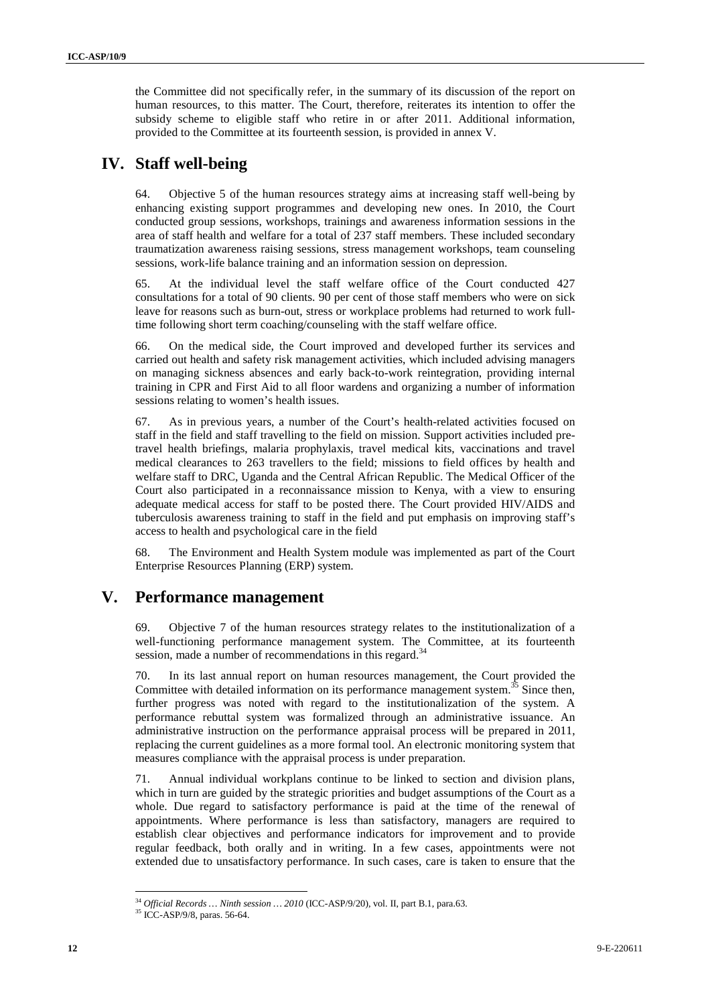the Committee did not specifically refer, in the summary of its discussion of the report on human resources, to this matter. The Court, therefore, reiterates its intention to offer the subsidy scheme to eligible staff who retire in or after 2011. Additional information, provided to the Committee at its fourteenth session, is provided in annex V.

## **IV. Staff well-being**

64. Objective 5 of the human resources strategy aims at increasing staff well-being by enhancing existing support programmes and developing new ones. In 2010, the Court conducted group sessions, workshops, trainings and awareness information sessions in the area of staff health and welfare for a total of 237 staff members. These included secondary traumatization awareness raising sessions, stress management workshops, team counseling sessions, work-life balance training and an information session on depression.

65. At the individual level the staff welfare office of the Court conducted 427 consultations for a total of 90 clients. 90 per cent of those staff members who were on sick leave for reasons such as burn-out, stress or workplace problems had returned to work fulltime following short term coaching/counseling with the staff welfare office.

66. On the medical side, the Court improved and developed further its services and carried out health and safety risk management activities, which included advising managers on managing sickness absences and early back-to-work reintegration, providing internal training in CPR and First Aid to all floor wardens and organizing a number of information sessions relating to women's health issues.

67. As in previous years, a number of the Court's health-related activities focused on staff in the field and staff travelling to the field on mission. Support activities included pretravel health briefings, malaria prophylaxis, travel medical kits, vaccinations and travel medical clearances to 263 travellers to the field; missions to field offices by health and welfare staff to DRC, Uganda and the Central African Republic. The Medical Officer of the Court also participated in a reconnaissance mission to Kenya, with a view to ensuring adequate medical access for staff to be posted there. The Court provided HIV/AIDS and tuberculosis awareness training to staff in the field and put emphasis on improving staff's access to health and psychological care in the field

68. The Environment and Health System module was implemented as part of the Court Enterprise Resources Planning (ERP) system.

# **V. Performance management**

69. Objective 7 of the human resources strategy relates to the institutionalization of a well-functioning performance management system. The Committee, at its fourteenth session, made a number of recommendations in this regard.<sup>34</sup>

70. In its last annual report on human resources management, the Court provided the Committee with detailed information on its performance management system.<sup>35</sup> Since then, further progress was noted with regard to the institutionalization of the system. A performance rebuttal system was formalized through an administrative issuance. An administrative instruction on the performance appraisal process will be prepared in 2011, replacing the current guidelines as a more formal tool. An electronic monitoring system that measures compliance with the appraisal process is under preparation.

71. Annual individual workplans continue to be linked to section and division plans, which in turn are guided by the strategic priorities and budget assumptions of the Court as a whole. Due regard to satisfactory performance is paid at the time of the renewal of appointments. Where performance is less than satisfactory, managers are required to establish clear objectives and performance indicators for improvement and to provide regular feedback, both orally and in writing. In a few cases, appointments were not extended due to unsatisfactory performance. In such cases, care is taken to ensure that the

<sup>34</sup> *Official Records … Ninth session … 2010* (ICC-ASP/9/20), vol. II, part B.1, para.63.

<sup>35</sup> ICC-ASP/9/8, paras. 56-64.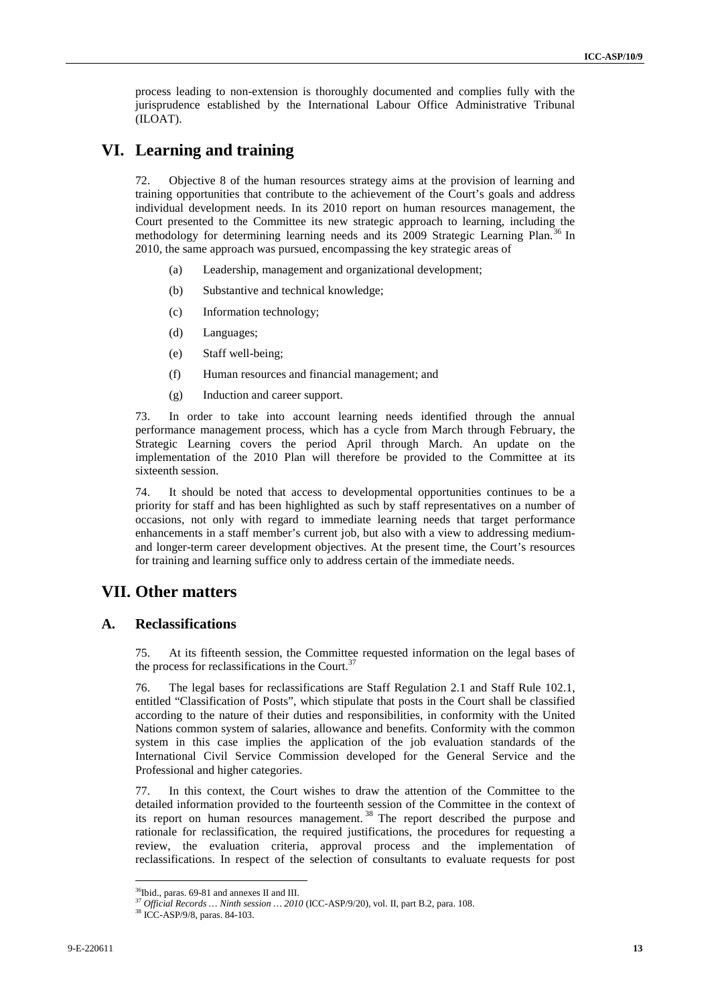process leading to non-extension is thoroughly documented and complies fully with the jurisprudence established by the International Labour Office Administrative Tribunal (ILOAT).

## **VI. Learning and training**

72. Objective 8 of the human resources strategy aims at the provision of learning and training opportunities that contribute to the achievement of the Court's goals and address individual development needs. In its 2010 report on human resources management, the Court presented to the Committee its new strategic approach to learning, including the methodology for determining learning needs and its 2009 Strategic Learning Plan.<sup>36</sup> In 2010, the same approach was pursued, encompassing the key strategic areas of

- (a) Leadership, management and organizational development;
- (b) Substantive and technical knowledge;
- (c) Information technology;
- (d) Languages;
- (e) Staff well-being;
- (f) Human resources and financial management; and
- (g) Induction and career support.

73. In order to take into account learning needs identified through the annual performance management process, which has a cycle from March through February, the Strategic Learning covers the period April through March. An update on the implementation of the 2010 Plan will therefore be provided to the Committee at its sixteenth session.

74. It should be noted that access to developmental opportunities continues to be a priority for staff and has been highlighted as such by staff representatives on a number of occasions, not only with regard to immediate learning needs that target performance enhancements in a staff member's current job, but also with a view to addressing mediumand longer-term career development objectives. At the present time, the Court's resources for training and learning suffice only to address certain of the immediate needs.

## **VII. Other matters**

### **A. Reclassifications**

75. At its fifteenth session, the Committee requested information on the legal bases of the process for reclassifications in the Court.<sup>37</sup>

76. The legal bases for reclassifications are Staff Regulation 2.1 and Staff Rule 102.1, entitled "Classification of Posts", which stipulate that posts in the Court shall be classified according to the nature of their duties and responsibilities, in conformity with the United Nations common system of salaries, allowance and benefits. Conformity with the common system in this case implies the application of the job evaluation standards of the International Civil Service Commission developed for the General Service and the Professional and higher categories.

77. In this context, the Court wishes to draw the attention of the Committee to the detailed information provided to the fourteenth session of the Committee in the context of its report on human resources management.<sup>38</sup> The report described the purpose and rationale for reclassification, the required justifications, the procedures for requesting a review, the evaluation criteria, approval process and the implementation of reclassifications. In respect of the selection of consultants to evaluate requests for post

<sup>&</sup>lt;sup>36</sup>Ibid., paras. 69-81 and annexes II and III.

<sup>37</sup> *Official Records … Ninth session … 2010* (ICC-ASP/9/20), vol. II, part B.2, para. 108.

<sup>38</sup> ICC-ASP/9/8, paras. 84-103.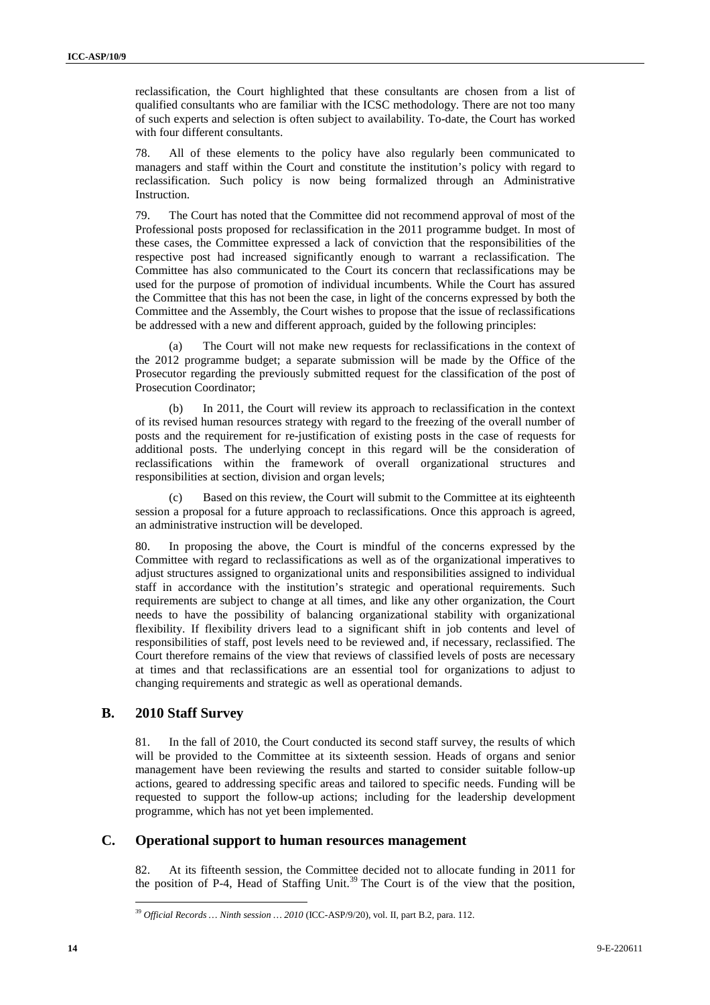reclassification, the Court highlighted that these consultants are chosen from a list of qualified consultants who are familiar with the ICSC methodology. There are not too many of such experts and selection is often subject to availability. To-date, the Court has worked with four different consultants.

78. All of these elements to the policy have also regularly been communicated to managers and staff within the Court and constitute the institution's policy with regard to reclassification. Such policy is now being formalized through an Administrative Instruction.

79. The Court has noted that the Committee did not recommend approval of most of the Professional posts proposed for reclassification in the 2011 programme budget. In most of these cases, the Committee expressed a lack of conviction that the responsibilities of the respective post had increased significantly enough to warrant a reclassification. The Committee has also communicated to the Court its concern that reclassifications may be used for the purpose of promotion of individual incumbents. While the Court has assured the Committee that this has not been the case, in light of the concerns expressed by both the Committee and the Assembly, the Court wishes to propose that the issue of reclassifications be addressed with a new and different approach, guided by the following principles:

The Court will not make new requests for reclassifications in the context of the 2012 programme budget; a separate submission will be made by the Office of the Prosecutor regarding the previously submitted request for the classification of the post of Prosecution Coordinator;

(b) In 2011, the Court will review its approach to reclassification in the context of its revised human resources strategy with regard to the freezing of the overall number of posts and the requirement for re-justification of existing posts in the case of requests for additional posts. The underlying concept in this regard will be the consideration of reclassifications within the framework of overall organizational structures and responsibilities at section, division and organ levels;

(c) Based on this review, the Court will submit to the Committee at its eighteenth session a proposal for a future approach to reclassifications. Once this approach is agreed, an administrative instruction will be developed.

80. In proposing the above, the Court is mindful of the concerns expressed by the Committee with regard to reclassifications as well as of the organizational imperatives to adjust structures assigned to organizational units and responsibilities assigned to individual staff in accordance with the institution's strategic and operational requirements. Such requirements are subject to change at all times, and like any other organization, the Court needs to have the possibility of balancing organizational stability with organizational flexibility. If flexibility drivers lead to a significant shift in job contents and level of responsibilities of staff, post levels need to be reviewed and, if necessary, reclassified. The Court therefore remains of the view that reviews of classified levels of posts are necessary at times and that reclassifications are an essential tool for organizations to adjust to changing requirements and strategic as well as operational demands.

### **B. 2010 Staff Survey**

 $\overline{a}$ 

81. In the fall of 2010, the Court conducted its second staff survey, the results of which will be provided to the Committee at its sixteenth session. Heads of organs and senior management have been reviewing the results and started to consider suitable follow-up actions, geared to addressing specific areas and tailored to specific needs. Funding will be requested to support the follow-up actions; including for the leadership development programme, which has not yet been implemented.

### **C. Operational support to human resources management**

82. At its fifteenth session, the Committee decided not to allocate funding in 2011 for the position of P-4, Head of Staffing Unit.<sup>39</sup> The Court is of the view that the position,

<sup>39</sup> *Official Records … Ninth session … 2010* (ICC-ASP/9/20), vol. II, part B.2, para. 112.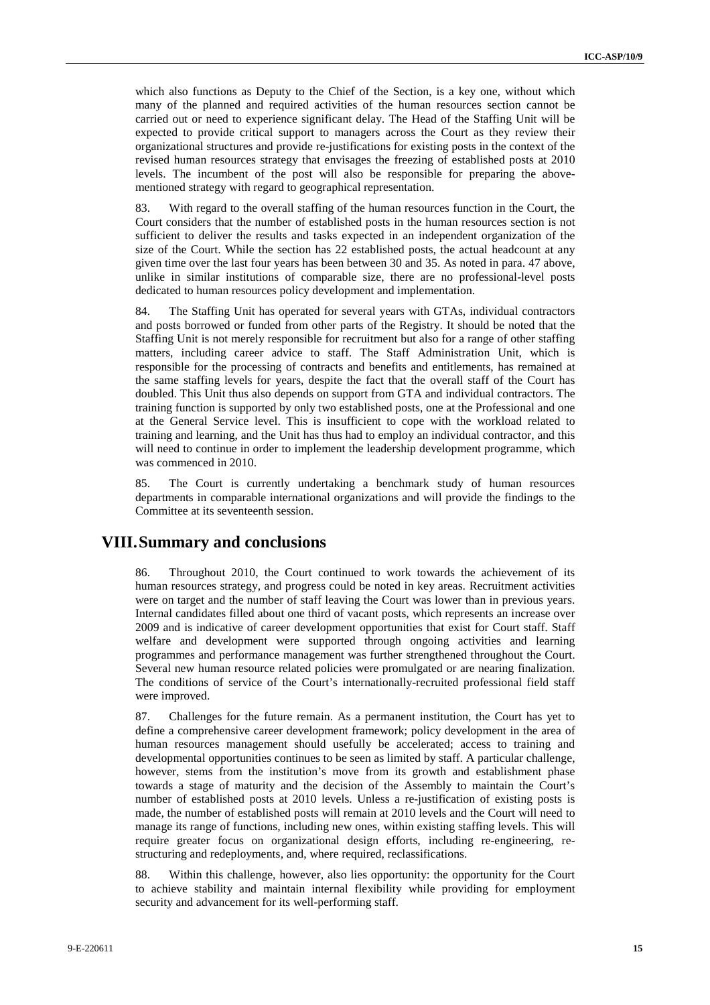which also functions as Deputy to the Chief of the Section, is a key one, without which many of the planned and required activities of the human resources section cannot be carried out or need to experience significant delay. The Head of the Staffing Unit will be expected to provide critical support to managers across the Court as they review their organizational structures and provide re-justifications for existing posts in the context of the revised human resources strategy that envisages the freezing of established posts at 2010 levels. The incumbent of the post will also be responsible for preparing the abovementioned strategy with regard to geographical representation.

83. With regard to the overall staffing of the human resources function in the Court, the Court considers that the number of established posts in the human resources section is not sufficient to deliver the results and tasks expected in an independent organization of the size of the Court. While the section has 22 established posts, the actual headcount at any given time over the last four years has been between 30 and 35. As noted in para. 47 above, unlike in similar institutions of comparable size, there are no professional-level posts dedicated to human resources policy development and implementation.

84. The Staffing Unit has operated for several years with GTAs, individual contractors and posts borrowed or funded from other parts of the Registry. It should be noted that the Staffing Unit is not merely responsible for recruitment but also for a range of other staffing matters, including career advice to staff. The Staff Administration Unit, which is responsible for the processing of contracts and benefits and entitlements, has remained at the same staffing levels for years, despite the fact that the overall staff of the Court has doubled. This Unit thus also depends on support from GTA and individual contractors. The training function is supported by only two established posts, one at the Professional and one at the General Service level. This is insufficient to cope with the workload related to training and learning, and the Unit has thus had to employ an individual contractor, and this will need to continue in order to implement the leadership development programme, which was commenced in 2010.

85. The Court is currently undertaking a benchmark study of human resources departments in comparable international organizations and will provide the findings to the Committee at its seventeenth session.

## **VIII.Summary and conclusions**

86. Throughout 2010, the Court continued to work towards the achievement of its human resources strategy, and progress could be noted in key areas. Recruitment activities were on target and the number of staff leaving the Court was lower than in previous years. Internal candidates filled about one third of vacant posts, which represents an increase over 2009 and is indicative of career development opportunities that exist for Court staff. Staff welfare and development were supported through ongoing activities and learning programmes and performance management was further strengthened throughout the Court. Several new human resource related policies were promulgated or are nearing finalization. The conditions of service of the Court's internationally-recruited professional field staff were improved.

87. Challenges for the future remain. As a permanent institution, the Court has yet to define a comprehensive career development framework; policy development in the area of human resources management should usefully be accelerated; access to training and developmental opportunities continues to be seen as limited by staff. A particular challenge, however, stems from the institution's move from its growth and establishment phase towards a stage of maturity and the decision of the Assembly to maintain the Court's number of established posts at 2010 levels. Unless a re-justification of existing posts is made, the number of established posts will remain at 2010 levels and the Court will need to manage its range of functions, including new ones, within existing staffing levels. This will require greater focus on organizational design efforts, including re-engineering, restructuring and redeployments, and, where required, reclassifications.

88. Within this challenge, however, also lies opportunity: the opportunity for the Court to achieve stability and maintain internal flexibility while providing for employment security and advancement for its well-performing staff.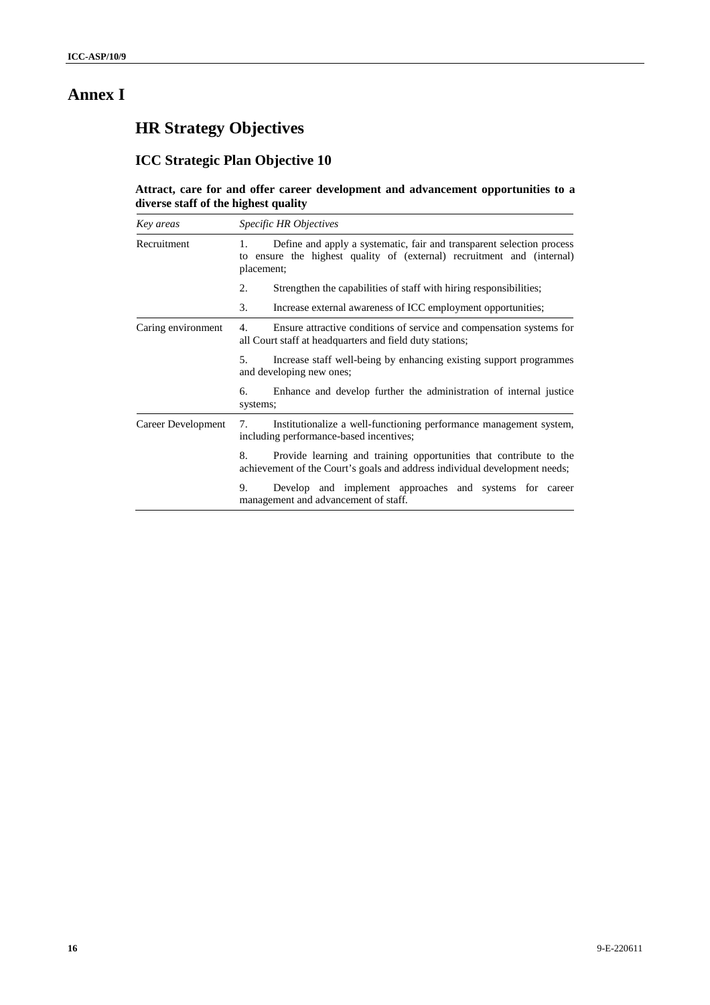# **Annex I**

# **HR Strategy Objectives**

# **ICC Strategic Plan Objective 10**

### **Attract, care for and offer career development and advancement opportunities to a diverse staff of the highest quality**

| Key areas          | <i>Specific HR Objectives</i>                                                                                                                                          |  |  |  |  |  |  |  |
|--------------------|------------------------------------------------------------------------------------------------------------------------------------------------------------------------|--|--|--|--|--|--|--|
| Recruitment        | Define and apply a systematic, fair and transparent selection process<br>1.<br>ensure the highest quality of (external) recruitment and (internal)<br>to<br>placement; |  |  |  |  |  |  |  |
|                    | 2.<br>Strengthen the capabilities of staff with hiring responsibilities;                                                                                               |  |  |  |  |  |  |  |
|                    | 3.<br>Increase external awareness of ICC employment opportunities;                                                                                                     |  |  |  |  |  |  |  |
| Caring environment | Ensure attractive conditions of service and compensation systems for<br>4.<br>all Court staff at headquarters and field duty stations;                                 |  |  |  |  |  |  |  |
|                    | 5.<br>Increase staff well-being by enhancing existing support programmes<br>and developing new ones;                                                                   |  |  |  |  |  |  |  |
|                    | Enhance and develop further the administration of internal justice<br>6.<br>systems;                                                                                   |  |  |  |  |  |  |  |
| Career Development | Institutionalize a well-functioning performance management system,<br>7.<br>including performance-based incentives;                                                    |  |  |  |  |  |  |  |
|                    | Provide learning and training opportunities that contribute to the<br>8.<br>achievement of the Court's goals and address individual development needs;                 |  |  |  |  |  |  |  |
|                    | 9.<br>Develop and implement approaches and systems for career<br>management and advancement of staff.                                                                  |  |  |  |  |  |  |  |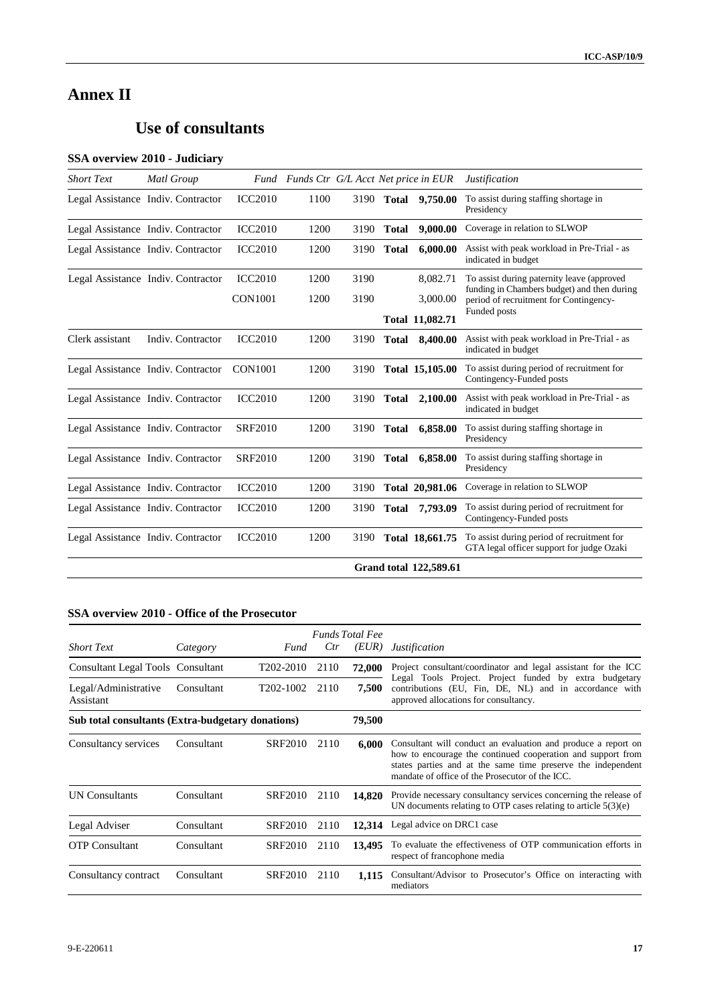# **Annex II**

# **Use of consultants**

## **SSA overview 2010 - Judiciary**

| <b>Short Text</b> | Matl Group                         |                | Fund Funds Ctr G/L Acct Net price in EUR |      |              |                               | <b>Justification</b>                                                                    |
|-------------------|------------------------------------|----------------|------------------------------------------|------|--------------|-------------------------------|-----------------------------------------------------------------------------------------|
|                   | Legal Assistance Indiv. Contractor | <b>ICC2010</b> | 1100                                     |      | 3190 Total   | 9,750.00                      | To assist during staffing shortage in<br>Presidency                                     |
|                   | Legal Assistance Indiv. Contractor | <b>ICC2010</b> | 1200                                     | 3190 | <b>Total</b> | 9,000.00                      | Coverage in relation to SLWOP                                                           |
|                   | Legal Assistance Indiv. Contractor | <b>ICC2010</b> | 1200                                     | 3190 | <b>Total</b> | 6,000.00                      | Assist with peak workload in Pre-Trial - as<br>indicated in budget                      |
|                   | Legal Assistance Indiv. Contractor | <b>ICC2010</b> | 1200                                     | 3190 |              | 8,082.71                      | To assist during paternity leave (approved                                              |
|                   |                                    | <b>CON1001</b> | 1200                                     | 3190 |              | 3,000.00                      | funding in Chambers budget) and then during<br>period of recruitment for Contingency-   |
|                   |                                    |                |                                          |      |              | Total 11,082.71               | Funded posts                                                                            |
| Clerk assistant   | Indiv. Contractor                  | <b>ICC2010</b> | 1200                                     | 3190 | <b>Total</b> | 8,400.00                      | Assist with peak workload in Pre-Trial - as<br>indicated in budget                      |
|                   | Legal Assistance Indiv. Contractor | <b>CON1001</b> | 1200                                     | 3190 |              | Total 15,105.00               | To assist during period of recruitment for<br>Contingency-Funded posts                  |
|                   | Legal Assistance Indiv. Contractor | <b>ICC2010</b> | 1200                                     | 3190 | <b>Total</b> | 2,100.00                      | Assist with peak workload in Pre-Trial - as<br>indicated in budget                      |
|                   | Legal Assistance Indiv. Contractor | <b>SRF2010</b> | 1200                                     | 3190 | <b>Total</b> | 6,858.00                      | To assist during staffing shortage in<br>Presidency                                     |
|                   | Legal Assistance Indiv. Contractor | <b>SRF2010</b> | 1200                                     | 3190 | <b>Total</b> | 6,858.00                      | To assist during staffing shortage in<br>Presidency                                     |
|                   | Legal Assistance Indiv. Contractor | <b>ICC2010</b> | 1200                                     | 3190 |              | Total 20,981.06               | Coverage in relation to SLWOP                                                           |
|                   | Legal Assistance Indiv. Contractor | <b>ICC2010</b> | 1200                                     | 3190 | <b>Total</b> | 7,793.09                      | To assist during period of recruitment for<br>Contingency-Funded posts                  |
|                   | Legal Assistance Indiv. Contractor | <b>ICC2010</b> | 1200                                     | 3190 |              | Total 18,661.75               | To assist during period of recruitment for<br>GTA legal officer support for judge Ozaki |
|                   |                                    |                |                                          |      |              | <b>Grand total 122,589.61</b> |                                                                                         |

### **SSA overview 2010 - Office of the Prosecutor**

|                                                   |            |                        |      | <b>Funds Total Fee</b> |                                                                                                                                                                                                                                                 |  |  |
|---------------------------------------------------|------------|------------------------|------|------------------------|-------------------------------------------------------------------------------------------------------------------------------------------------------------------------------------------------------------------------------------------------|--|--|
| <b>Short Text</b>                                 | Category   | Fund                   | Ctr  | (EUR)                  | <i>Justification</i>                                                                                                                                                                                                                            |  |  |
| Consultant Legal Tools Consultant                 |            | T202-2010              | 2110 | 72,000                 | Project consultant/coordinator and legal assistant for the ICC                                                                                                                                                                                  |  |  |
| Legal/Administrative<br>Assistant                 | Consultant | T <sub>202</sub> -1002 | 2110 | 7,500                  | Legal Tools Project. Project funded by extra budgetary<br>contributions (EU, Fin, DE, NL) and in accordance with<br>approved allocations for consultancy.                                                                                       |  |  |
| Sub total consultants (Extra-budgetary donations) |            |                        |      | 79,500                 |                                                                                                                                                                                                                                                 |  |  |
| Consultancy services                              | Consultant | SRF2010                | 2110 | 6.000                  | Consultant will conduct an evaluation and produce a report on<br>how to encourage the continued cooperation and support from<br>states parties and at the same time preserve the independent<br>mandate of office of the Prosecutor of the ICC. |  |  |
| <b>UN Consultants</b>                             | Consultant | SRF2010                | 2110 | 14,820                 | Provide necessary consultancy services concerning the release of<br>UN documents relating to OTP cases relating to article $5(3)(e)$                                                                                                            |  |  |
| Legal Adviser                                     | Consultant | SRF2010                | 2110 | 12,314                 | Legal advice on DRC1 case                                                                                                                                                                                                                       |  |  |
| <b>OTP</b> Consultant                             | Consultant | SRF2010                | 2110 | 13,495                 | To evaluate the effectiveness of OTP communication efforts in<br>respect of francophone media                                                                                                                                                   |  |  |
| Consultancy contract                              | Consultant | <b>SRF2010</b>         | 2110 | 1.115                  | Consultant/Advisor to Prosecutor's Office on interacting with<br>mediators                                                                                                                                                                      |  |  |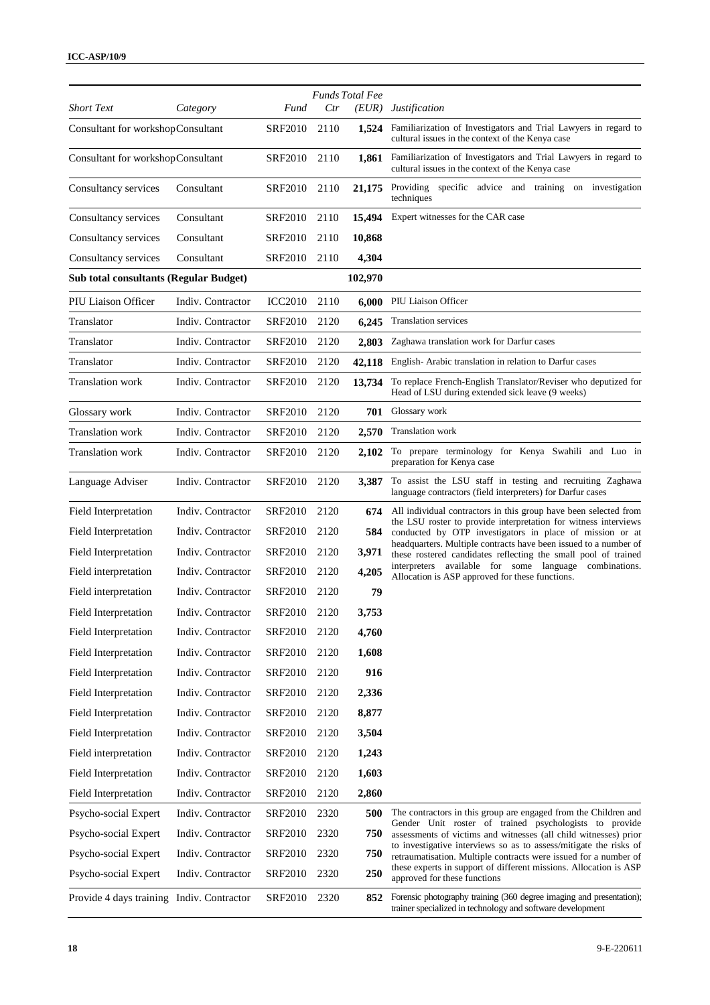| <b>Short Text</b>                             | Category          | Fund           | Ctr  | <b>Funds Total Fee</b><br>(EUR) | <i>Justification</i>                                                                                                                  |
|-----------------------------------------------|-------------------|----------------|------|---------------------------------|---------------------------------------------------------------------------------------------------------------------------------------|
| Consultant for workshopConsultant             |                   | <b>SRF2010</b> | 2110 | 1,524                           | Familiarization of Investigators and Trial Lawyers in regard to                                                                       |
|                                               |                   |                |      |                                 | cultural issues in the context of the Kenya case                                                                                      |
| Consultant for workshopConsultant             |                   | SRF2010        | 2110 | 1,861                           | Familiarization of Investigators and Trial Lawyers in regard to<br>cultural issues in the context of the Kenya case                   |
| Consultancy services                          | Consultant        | SRF2010        | 2110 | 21,175                          | Providing specific advice and training on investigation<br>techniques                                                                 |
| Consultancy services                          | Consultant        | SRF2010        | 2110 | 15,494                          | Expert witnesses for the CAR case                                                                                                     |
| Consultancy services                          | Consultant        | SRF2010        | 2110 | 10,868                          |                                                                                                                                       |
| Consultancy services                          | Consultant        | <b>SRF2010</b> | 2110 | 4,304                           |                                                                                                                                       |
| <b>Sub total consultants (Regular Budget)</b> |                   |                |      | 102,970                         |                                                                                                                                       |
| PIU Liaison Officer                           | Indiv. Contractor | <b>ICC2010</b> | 2110 | 6,000                           | PIU Liaison Officer                                                                                                                   |
| Translator                                    | Indiv. Contractor | SRF2010        | 2120 | 6,245                           | Translation services                                                                                                                  |
| Translator                                    | Indiv. Contractor | <b>SRF2010</b> | 2120 | 2,803                           | Zaghawa translation work for Darfur cases                                                                                             |
| Translator                                    | Indiv. Contractor | SRF2010        | 2120 | 42,118                          | English-Arabic translation in relation to Darfur cases                                                                                |
| Translation work                              | Indiv. Contractor | SRF2010        | 2120 | 13,734                          | To replace French-English Translator/Reviser who deputized for<br>Head of LSU during extended sick leave (9 weeks)                    |
| Glossary work                                 | Indiv. Contractor | <b>SRF2010</b> | 2120 | 701                             | Glossary work                                                                                                                         |
| Translation work                              | Indiv. Contractor | SRF2010        | 2120 | 2,570                           | Translation work                                                                                                                      |
| Translation work                              | Indiv. Contractor | SRF2010        | 2120 | 2,102                           | To prepare terminology for Kenya Swahili and Luo in<br>preparation for Kenya case                                                     |
| Language Adviser                              | Indiv. Contractor | SRF2010        | 2120 | 3,387                           | To assist the LSU staff in testing and recruiting Zaghawa<br>language contractors (field interpreters) for Darfur cases               |
| Field Interpretation                          | Indiv. Contractor | <b>SRF2010</b> | 2120 | 674                             | All individual contractors in this group have been selected from                                                                      |
| Field Interpretation                          | Indiv. Contractor | SRF2010        | 2120 | 584                             | the LSU roster to provide interpretation for witness interviews<br>conducted by OTP investigators in place of mission or at           |
| Field Interpretation                          | Indiv. Contractor | SRF2010        | 2120 | 3,971                           | headquarters. Multiple contracts have been issued to a number of<br>these rostered candidates reflecting the small pool of trained    |
| Field interpretation                          | Indiv. Contractor | <b>SRF2010</b> | 2120 | 4,205                           | interpreters available for some language combinations.<br>Allocation is ASP approved for these functions.                             |
| Field interpretation                          | Indiv. Contractor | SRF2010        | 2120 | 79                              |                                                                                                                                       |
| Field Interpretation                          | Indiv. Contractor | SRF2010        | 2120 | 3,753                           |                                                                                                                                       |
| Field Interpretation                          | Indiv. Contractor | SRF2010 2120   |      | 4,760                           |                                                                                                                                       |
| Field Interpretation                          | Indiv. Contractor | <b>SRF2010</b> | 2120 | 1,608                           |                                                                                                                                       |
| Field Interpretation                          | Indiv. Contractor | <b>SRF2010</b> | 2120 | 916                             |                                                                                                                                       |
| Field Interpretation                          | Indiv. Contractor | <b>SRF2010</b> | 2120 | 2,336                           |                                                                                                                                       |
| Field Interpretation                          | Indiv. Contractor | <b>SRF2010</b> | 2120 | 8,877                           |                                                                                                                                       |
| Field Interpretation                          | Indiv. Contractor | SRF2010        | 2120 | 3,504                           |                                                                                                                                       |
| Field interpretation                          | Indiv. Contractor | <b>SRF2010</b> | 2120 | 1,243                           |                                                                                                                                       |
| Field Interpretation                          | Indiv. Contractor | SRF2010        | 2120 | 1,603                           |                                                                                                                                       |
| Field Interpretation                          | Indiv. Contractor | <b>SRF2010</b> | 2120 | 2,860                           |                                                                                                                                       |
| Psycho-social Expert                          | Indiv. Contractor | <b>SRF2010</b> | 2320 | 500                             | The contractors in this group are engaged from the Children and                                                                       |
| Psycho-social Expert                          | Indiv. Contractor | SRF2010        | 2320 | 750                             | Gender Unit roster of trained psychologists to provide<br>assessments of victims and witnesses (all child witnesses) prior            |
| Psycho-social Expert                          | Indiv. Contractor | <b>SRF2010</b> | 2320 | 750                             | to investigative interviews so as to assess/mitigate the risks of<br>retraumatisation. Multiple contracts were issued for a number of |
| Psycho-social Expert                          | Indiv. Contractor | SRF2010        | 2320 | 250                             | these experts in support of different missions. Allocation is ASP<br>approved for these functions                                     |
| Provide 4 days training Indiv. Contractor     |                   | <b>SRF2010</b> | 2320 | 852                             | Forensic photography training (360 degree imaging and presentation);<br>trainer specialized in technology and software development    |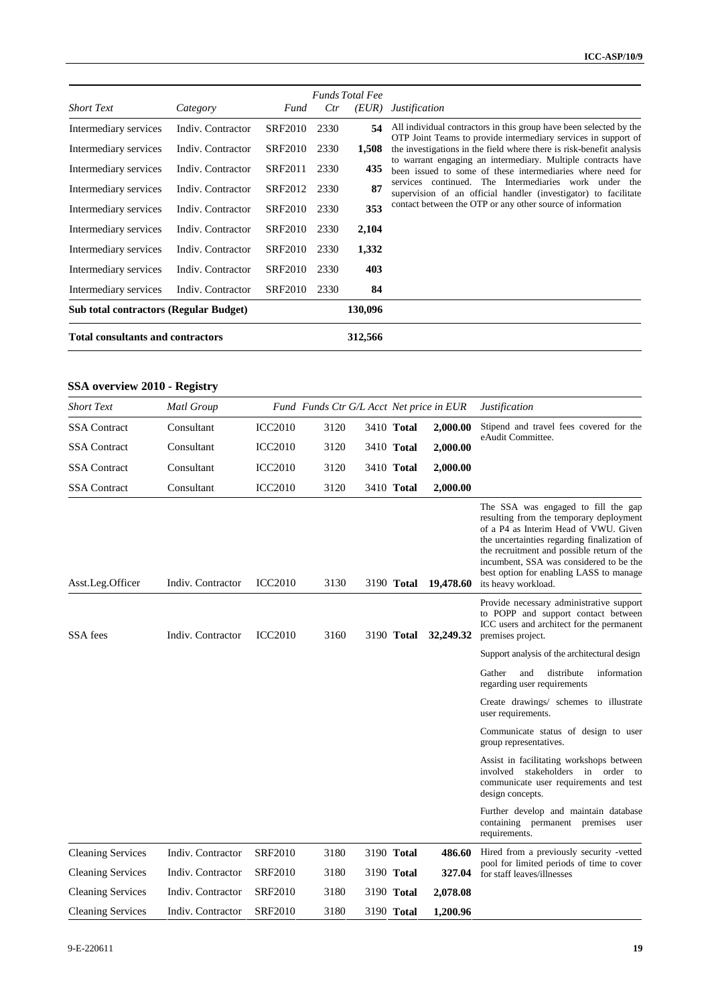|                                               |                   |                |      | <b>Funds Total Fee</b> |                                                                                                                                        |
|-----------------------------------------------|-------------------|----------------|------|------------------------|----------------------------------------------------------------------------------------------------------------------------------------|
| <b>Short Text</b>                             | Category          | Fund           | Ctr  | (EUR)                  | <i>Justification</i>                                                                                                                   |
| Intermediary services                         | Indiv. Contractor | <b>SRF2010</b> | 2330 | 54                     | All individual contractors in this group have been selected by the                                                                     |
| Intermediary services                         | Indiv. Contractor | <b>SRF2010</b> | 2330 | 1,508                  | OTP Joint Teams to provide intermediary services in support of<br>the investigations in the field where there is risk-benefit analysis |
| Intermediary services                         | Indiv. Contractor | SRF2011        | 2330 | 435                    | to warrant engaging an intermediary. Multiple contracts have<br>been issued to some of these intermediaries where need for             |
| Intermediary services                         | Indiv. Contractor | SRF2012        | 2330 | 87                     | services continued. The Intermediaries work under the<br>supervision of an official handler (investigator) to facilitate               |
| Intermediary services                         | Indiv. Contractor | <b>SRF2010</b> | 2330 | 353                    | contact between the OTP or any other source of information                                                                             |
| Intermediary services                         | Indiv. Contractor | <b>SRF2010</b> | 2330 | 2,104                  |                                                                                                                                        |
| Intermediary services                         | Indiv. Contractor | <b>SRF2010</b> | 2330 | 1,332                  |                                                                                                                                        |
| Intermediary services                         | Indiv. Contractor | <b>SRF2010</b> | 2330 | 403                    |                                                                                                                                        |
| Intermediary services                         | Indiv. Contractor | <b>SRF2010</b> | 2330 | 84                     |                                                                                                                                        |
| <b>Sub total contractors (Regular Budget)</b> |                   |                |      | 130,096                |                                                                                                                                        |
| <b>Total consultants and contractors</b>      |                   |                |      |                        |                                                                                                                                        |

## **SSA overview 2010 - Registry**

| <b>Short Text</b>        | Matl Group        |                | Fund Funds Ctr G/L Acct Net price in EUR |                   |           | <b>Justification</b>                                                                                                                                                                                                                                                                                                              |
|--------------------------|-------------------|----------------|------------------------------------------|-------------------|-----------|-----------------------------------------------------------------------------------------------------------------------------------------------------------------------------------------------------------------------------------------------------------------------------------------------------------------------------------|
| <b>SSA</b> Contract      | Consultant        | <b>ICC2010</b> | 3120                                     | 3410 Total        | 2,000.00  | Stipend and travel fees covered for the                                                                                                                                                                                                                                                                                           |
| <b>SSA</b> Contract      | Consultant        | <b>ICC2010</b> | 3120                                     | 3410 Total        | 2,000.00  | eAudit Committee.                                                                                                                                                                                                                                                                                                                 |
| <b>SSA</b> Contract      | Consultant        | <b>ICC2010</b> | 3120                                     | 3410 Total        | 2,000.00  |                                                                                                                                                                                                                                                                                                                                   |
| <b>SSA</b> Contract      | Consultant        | <b>ICC2010</b> | 3120                                     | 3410 Total        | 2,000.00  |                                                                                                                                                                                                                                                                                                                                   |
| Asst.Leg.Officer         | Indiv. Contractor | <b>ICC2010</b> | 3130                                     | 3190 <b>Total</b> | 19,478.60 | The SSA was engaged to fill the gap<br>resulting from the temporary deployment<br>of a P4 as Interim Head of VWU. Given<br>the uncertainties regarding finalization of<br>the recruitment and possible return of the<br>incumbent, SSA was considered to be the<br>best option for enabling LASS to manage<br>its heavy workload. |
| SSA fees                 | Indiv. Contractor | <b>ICC2010</b> | 3160                                     | 3190 Total        | 32,249.32 | Provide necessary administrative support<br>to POPP and support contact between<br>ICC users and architect for the permanent<br>premises project.                                                                                                                                                                                 |
|                          |                   |                |                                          |                   |           | Support analysis of the architectural design                                                                                                                                                                                                                                                                                      |
|                          |                   |                |                                          |                   |           | Gather<br>and<br>distribute<br>information<br>regarding user requirements                                                                                                                                                                                                                                                         |
|                          |                   |                |                                          |                   |           | Create drawings/ schemes to illustrate<br>user requirements.                                                                                                                                                                                                                                                                      |
|                          |                   |                |                                          |                   |           | Communicate status of design to user<br>group representatives.                                                                                                                                                                                                                                                                    |
|                          |                   |                |                                          |                   |           | Assist in facilitating workshops between<br>involved stakeholders in order to<br>communicate user requirements and test<br>design concepts.                                                                                                                                                                                       |
|                          |                   |                |                                          |                   |           | Further develop and maintain database<br>containing permanent premises<br>user<br>requirements.                                                                                                                                                                                                                                   |
| <b>Cleaning Services</b> | Indiv. Contractor | <b>SRF2010</b> | 3180                                     | 3190 Total        | 486.60    | Hired from a previously security -vetted                                                                                                                                                                                                                                                                                          |
| <b>Cleaning Services</b> | Indiv. Contractor | <b>SRF2010</b> | 3180                                     | 3190 Total        | 327.04    | pool for limited periods of time to cover<br>for staff leaves/illnesses                                                                                                                                                                                                                                                           |
| <b>Cleaning Services</b> | Indiv. Contractor | <b>SRF2010</b> | 3180                                     | 3190 Total        | 2,078.08  |                                                                                                                                                                                                                                                                                                                                   |
| <b>Cleaning Services</b> | Indiv. Contractor | <b>SRF2010</b> | 3180                                     | 3190 <b>Total</b> | 1,200.96  |                                                                                                                                                                                                                                                                                                                                   |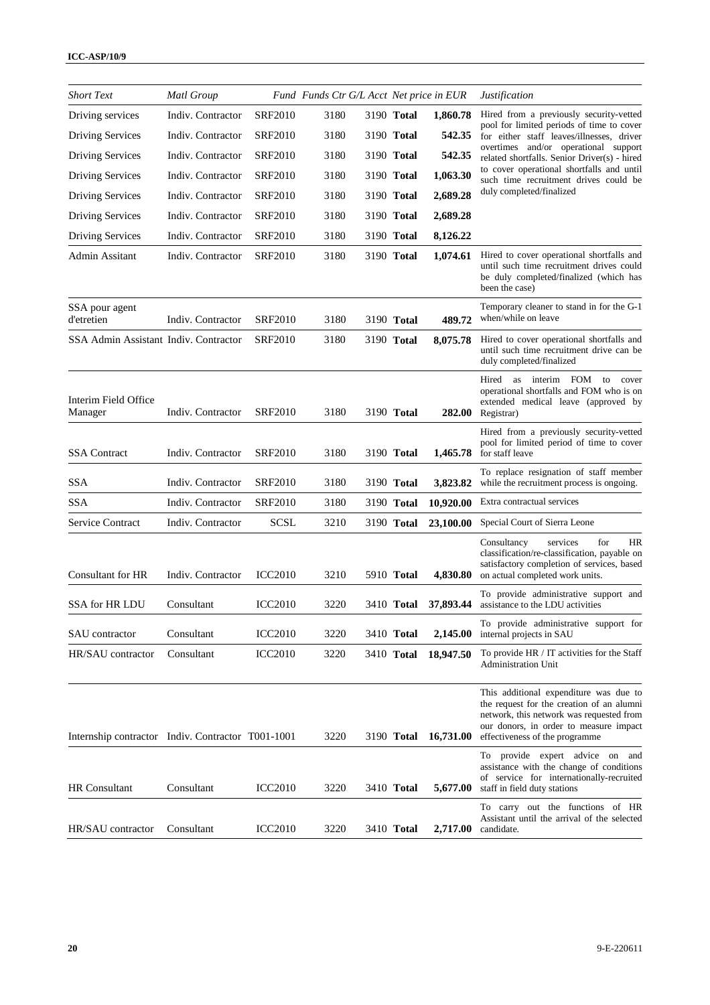| <b>Short Text</b>                                 | <b>Matl Group</b> |                | Fund Funds Ctr G/L Acct Net price in EUR |                   |           | <i>Justification</i>                                                                                                                                                                                        |
|---------------------------------------------------|-------------------|----------------|------------------------------------------|-------------------|-----------|-------------------------------------------------------------------------------------------------------------------------------------------------------------------------------------------------------------|
| Driving services                                  | Indiv. Contractor | <b>SRF2010</b> | 3180                                     | 3190 Total        | 1,860.78  | Hired from a previously security-vetted                                                                                                                                                                     |
| <b>Driving Services</b>                           | Indiv. Contractor | <b>SRF2010</b> | 3180                                     | 3190 Total        | 542.35    | pool for limited periods of time to cover<br>for either staff leaves/illnesses, driver                                                                                                                      |
| <b>Driving Services</b>                           | Indiv. Contractor | <b>SRF2010</b> | 3180                                     | 3190 Total        | 542.35    | overtimes and/or operational support<br>related shortfalls. Senior Driver(s) - hired                                                                                                                        |
| <b>Driving Services</b>                           | Indiv. Contractor | <b>SRF2010</b> | 3180                                     | 3190 Total        | 1,063.30  | to cover operational shortfalls and until<br>such time recruitment drives could be                                                                                                                          |
| <b>Driving Services</b>                           | Indiv. Contractor | <b>SRF2010</b> | 3180                                     | 3190 Total        | 2,689.28  | duly completed/finalized                                                                                                                                                                                    |
| <b>Driving Services</b>                           | Indiv. Contractor | <b>SRF2010</b> | 3180                                     | 3190 Total        | 2,689.28  |                                                                                                                                                                                                             |
| <b>Driving Services</b>                           | Indiv. Contractor | <b>SRF2010</b> | 3180                                     | 3190 Total        | 8,126.22  |                                                                                                                                                                                                             |
| Admin Assitant                                    | Indiv. Contractor | <b>SRF2010</b> | 3180                                     | 3190 Total        | 1,074.61  | Hired to cover operational shortfalls and<br>until such time recruitment drives could<br>be duly completed/finalized (which has<br>been the case)                                                           |
| SSA pour agent<br>d'etretien                      | Indiv. Contractor | <b>SRF2010</b> | 3180                                     | 3190 Total        | 489.72    | Temporary cleaner to stand in for the G-1<br>when/while on leave                                                                                                                                            |
| SSA Admin Assistant Indiv. Contractor             |                   | <b>SRF2010</b> | 3180                                     | 3190 Total        | 8,075.78  | Hired to cover operational shortfalls and<br>until such time recruitment drive can be<br>duly completed/finalized                                                                                           |
| Interim Field Office<br>Manager                   | Indiv. Contractor | <b>SRF2010</b> | 3180                                     | 3190 Total        | 282.00    | as interim FOM to cover<br>Hired<br>operational shortfalls and FOM who is on<br>extended medical leave (approved by<br>Registrar)                                                                           |
| <b>SSA</b> Contract                               | Indiv. Contractor | SRF2010        | 3180                                     | 3190 Total        | 1,465.78  | Hired from a previously security-vetted<br>pool for limited period of time to cover<br>for staff leave                                                                                                      |
| <b>SSA</b>                                        | Indiv. Contractor | <b>SRF2010</b> | 3180                                     | 3190 Total        | 3,823.82  | To replace resignation of staff member<br>while the recruitment process is ongoing.                                                                                                                         |
| <b>SSA</b>                                        | Indiv. Contractor | <b>SRF2010</b> | 3180                                     | 3190 Total        | 10,920.00 | Extra contractual services                                                                                                                                                                                  |
| Service Contract                                  | Indiv. Contractor | <b>SCSL</b>    | 3210                                     | 3190 Total        | 23,100.00 | Special Court of Sierra Leone                                                                                                                                                                               |
| Consultant for HR                                 | Indiv. Contractor | <b>ICC2010</b> | 3210                                     | 5910 Total        | 4,830.80  | for<br>HR<br>Consultancy<br>services<br>classification/re-classification, payable on<br>satisfactory completion of services, based<br>on actual completed work units.                                       |
| <b>SSA for HR LDU</b>                             | Consultant        | <b>ICC2010</b> | 3220                                     | 3410 <b>Total</b> | 37,893.44 | To provide administrative support and<br>assistance to the LDU activities                                                                                                                                   |
| <b>SAU</b> contractor                             | Consultant        | <b>ICC2010</b> | 3220                                     | 3410 Total        | 2,145.00  | To provide administrative support for<br>internal projects in SAU                                                                                                                                           |
| HR/SAU contractor                                 | Consultant        | <b>ICC2010</b> | 3220                                     | 3410 <b>Total</b> | 18,947.50 | To provide $HR / IT$ activities for the Staff<br><b>Administration Unit</b>                                                                                                                                 |
| Internship contractor Indiv. Contractor T001-1001 |                   |                | 3220                                     | 3190 Total        | 16,731.00 | This additional expenditure was due to<br>the request for the creation of an alumni<br>network, this network was requested from<br>our donors, in order to measure impact<br>effectiveness of the programme |
| <b>HR</b> Consultant                              | Consultant        | <b>ICC2010</b> | 3220                                     | 3410 Total        | 5,677.00  | To provide expert advice on and<br>assistance with the change of conditions<br>of service for internationally-recruited<br>staff in field duty stations                                                     |
| HR/SAU contractor                                 | Consultant        | <b>ICC2010</b> | 3220                                     | 3410 <b>Total</b> | 2,717.00  | To carry out the functions of HR<br>Assistant until the arrival of the selected<br>candidate.                                                                                                               |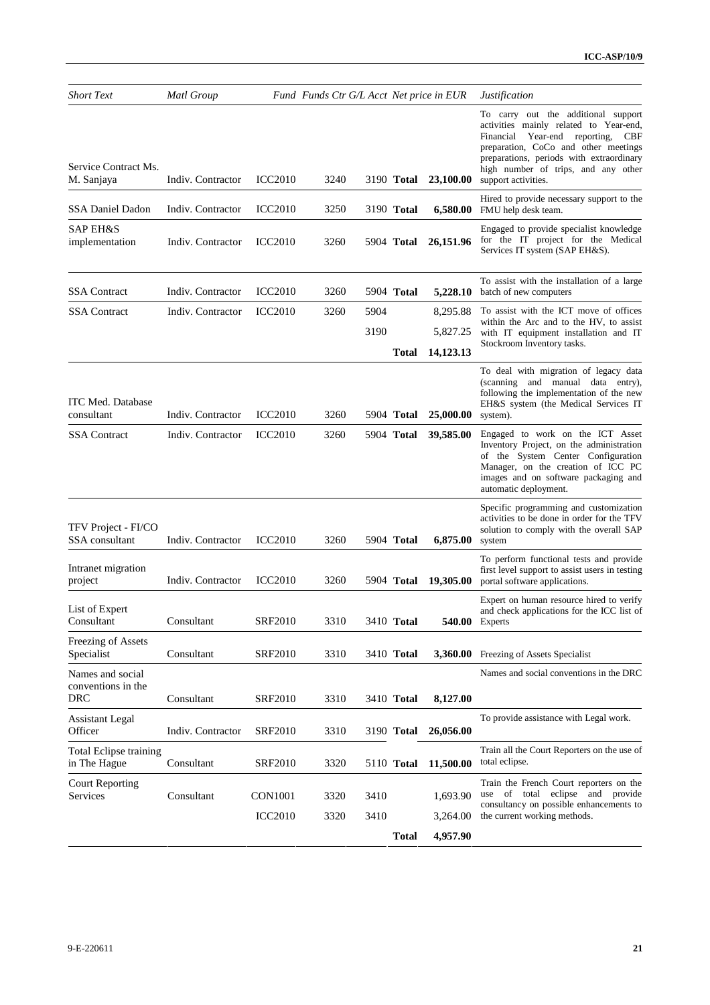| <b>Short Text</b>                             | <b>Matl Group</b> |                | Fund Funds Ctr G/L Acct Net price in EUR |      |                   |           | <i>Justification</i>                                                                                                                                                                                                                                                 |  |
|-----------------------------------------------|-------------------|----------------|------------------------------------------|------|-------------------|-----------|----------------------------------------------------------------------------------------------------------------------------------------------------------------------------------------------------------------------------------------------------------------------|--|
| Service Contract Ms.<br>M. Sanjaya            | Indiv. Contractor | <b>ICC2010</b> | 3240                                     |      | 3190 Total        | 23,100.00 | To carry out the additional support<br>activities mainly related to Year-end,<br>Financial Year-end reporting, CBF<br>preparation, CoCo and other meetings<br>preparations, periods with extraordinary<br>high number of trips, and any other<br>support activities. |  |
| SSA Daniel Dadon                              | Indiv. Contractor | <b>ICC2010</b> | 3250                                     |      | 3190 Total        | 6,580.00  | Hired to provide necessary support to the<br>FMU help desk team.                                                                                                                                                                                                     |  |
| SAP EH&S<br>implementation                    | Indiv. Contractor | <b>ICC2010</b> | 3260                                     |      | 5904 Total        | 26,151.96 | Engaged to provide specialist knowledge<br>for the IT project for the Medical<br>Services IT system (SAP EH&S).                                                                                                                                                      |  |
| <b>SSA</b> Contract                           | Indiv. Contractor | <b>ICC2010</b> | 3260                                     |      | 5904 Total        | 5,228.10  | To assist with the installation of a large<br>batch of new computers                                                                                                                                                                                                 |  |
| <b>SSA Contract</b>                           | Indiv. Contractor | <b>ICC2010</b> | 3260                                     | 5904 |                   | 8,295.88  | To assist with the ICT move of offices                                                                                                                                                                                                                               |  |
|                                               |                   |                |                                          | 3190 |                   | 5,827.25  | within the Arc and to the HV, to assist<br>with IT equipment installation and IT                                                                                                                                                                                     |  |
|                                               |                   |                |                                          |      | Total             | 14,123.13 | Stockroom Inventory tasks.                                                                                                                                                                                                                                           |  |
| <b>ITC Med. Database</b><br>consultant        | Indiv. Contractor | <b>ICC2010</b> | 3260                                     |      | 5904 <b>Total</b> | 25,000.00 | To deal with migration of legacy data<br>(scanning and manual data entry),<br>following the implementation of the new<br>EH&S system (the Medical Services IT<br>system).                                                                                            |  |
| SSA Contract                                  | Indiv. Contractor | <b>ICC2010</b> | 3260                                     |      | 5904 Total        | 39,585.00 | Engaged to work on the ICT Asset<br>Inventory Project, on the administration<br>of the System Center Configuration<br>Manager, on the creation of ICC PC<br>images and on software packaging and<br>automatic deployment.                                            |  |
| TFV Project - FI/CO<br>SSA consultant         | Indiv. Contractor | <b>ICC2010</b> | 3260                                     |      | 5904 Total        | 6,875.00  | Specific programming and customization<br>activities to be done in order for the TFV<br>solution to comply with the overall SAP<br>system                                                                                                                            |  |
| Intranet migration<br>project                 | Indiv. Contractor | <b>ICC2010</b> | 3260                                     |      | 5904 Total        | 19,305.00 | To perform functional tests and provide<br>first level support to assist users in testing<br>portal software applications.                                                                                                                                           |  |
| List of Expert<br>Consultant                  | Consultant        | <b>SRF2010</b> | 3310                                     |      | 3410 <b>Total</b> |           | Expert on human resource hired to verify<br>and check applications for the ICC list of<br><b>540.00</b> Experts                                                                                                                                                      |  |
| Freezing of Assets<br>Specialist              | Consultant        | <b>SRF2010</b> | 3310                                     |      | 3410 Total        |           | 3,360.00 Freezing of Assets Specialist                                                                                                                                                                                                                               |  |
| Names and social                              |                   |                |                                          |      |                   |           | Names and social conventions in the DRC                                                                                                                                                                                                                              |  |
| conventions in the<br>DRC                     | Consultant        | <b>SRF2010</b> | 3310                                     |      | 3410 Total        | 8,127.00  |                                                                                                                                                                                                                                                                      |  |
| Assistant Legal<br>Officer                    | Indiv. Contractor | <b>SRF2010</b> | 3310                                     |      | 3190 <b>Total</b> | 26,056.00 | To provide assistance with Legal work.                                                                                                                                                                                                                               |  |
| <b>Total Eclipse training</b><br>in The Hague | Consultant        | <b>SRF2010</b> | 3320                                     |      | 5110 Total        | 11,500.00 | Train all the Court Reporters on the use of<br>total eclipse.                                                                                                                                                                                                        |  |
| <b>Court Reporting</b><br>Services            | Consultant        | <b>CON1001</b> | 3320                                     | 3410 |                   | 1,693.90  | Train the French Court reporters on the<br>use of total eclipse and provide<br>consultancy on possible enhancements to                                                                                                                                               |  |
|                                               |                   | <b>ICC2010</b> | 3320                                     | 3410 |                   | 3,264.00  | the current working methods.                                                                                                                                                                                                                                         |  |
|                                               |                   |                |                                          |      | <b>Total</b>      | 4,957.90  |                                                                                                                                                                                                                                                                      |  |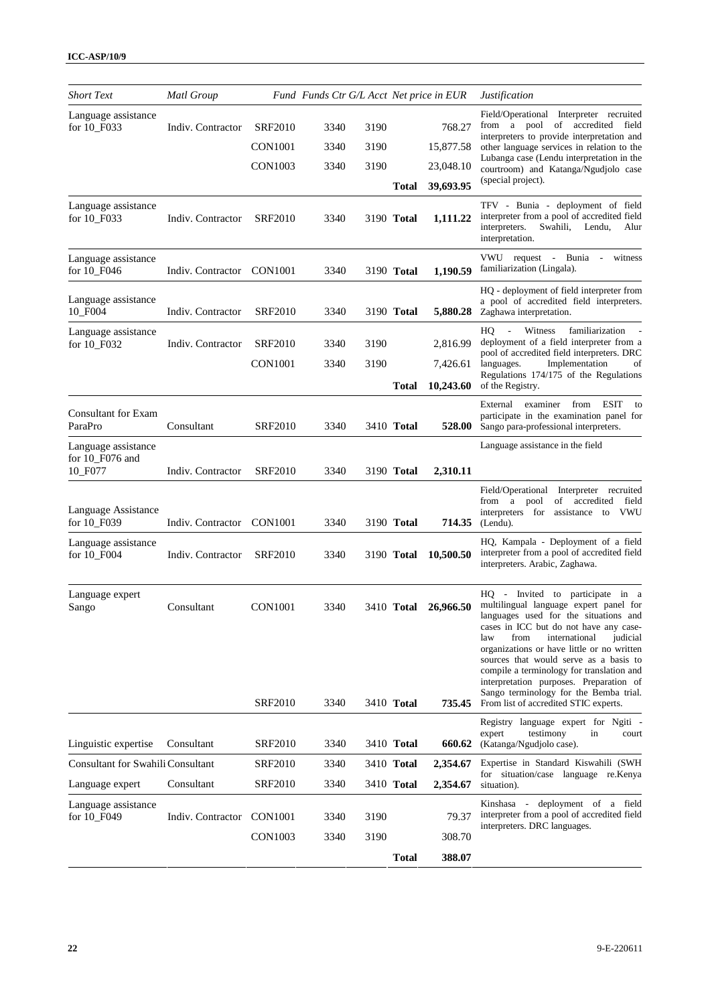| <b>Short Text</b>                        | <b>Matl Group</b> |                | Fund Funds Ctr G/L Acct Net price in EUR |      |                   |           | <i>Justification</i>                                                                                                                                                                                                                                                                                                                                                                      |
|------------------------------------------|-------------------|----------------|------------------------------------------|------|-------------------|-----------|-------------------------------------------------------------------------------------------------------------------------------------------------------------------------------------------------------------------------------------------------------------------------------------------------------------------------------------------------------------------------------------------|
| Language assistance<br>for 10_F033       | Indiv. Contractor | <b>SRF2010</b> | 3340                                     | 3190 |                   | 768.27    | Field/Operational Interpreter recruited<br>from a pool of accredited field                                                                                                                                                                                                                                                                                                                |
|                                          |                   | <b>CON1001</b> | 3340                                     | 3190 |                   | 15,877.58 | interpreters to provide interpretation and<br>other language services in relation to the                                                                                                                                                                                                                                                                                                  |
|                                          |                   | <b>CON1003</b> | 3340                                     | 3190 |                   | 23,048.10 | Lubanga case (Lendu interpretation in the<br>courtroom) and Katanga/Ngudjolo case                                                                                                                                                                                                                                                                                                         |
|                                          |                   |                |                                          |      | Total             | 39,693.95 | (special project).                                                                                                                                                                                                                                                                                                                                                                        |
| Language assistance<br>for 10_F033       | Indiv. Contractor | <b>SRF2010</b> | 3340                                     |      | 3190 Total        | 1,111.22  | TFV - Bunia - deployment of field<br>interpreter from a pool of accredited field<br>interpreters.<br>Swahili,<br>Lendu,<br>Alur<br>interpretation.                                                                                                                                                                                                                                        |
| Language assistance<br>for 10 F046       | Indiv. Contractor | <b>CON1001</b> | 3340                                     |      | 3190 Total        | 1,190.59  | VWU request - Bunia -<br>witness<br>familiarization (Lingala).                                                                                                                                                                                                                                                                                                                            |
| Language assistance<br>10_F004           | Indiv. Contractor | <b>SRF2010</b> | 3340                                     |      | 3190 Total        | 5,880.28  | HQ - deployment of field interpreter from<br>a pool of accredited field interpreters.<br>Zaghawa interpretation.                                                                                                                                                                                                                                                                          |
| Language assistance<br>for 10_F032       | Indiv. Contractor | <b>SRF2010</b> | 3340                                     | 3190 |                   | 2,816.99  | Witness<br>familiarization<br>HQ<br>$\mathcal{L}_{\mathcal{A}}$<br>deployment of a field interpreter from a<br>pool of accredited field interpreters. DRC                                                                                                                                                                                                                                 |
|                                          |                   | <b>CON1001</b> | 3340                                     | 3190 |                   | 7,426.61  | Implementation<br>languages.<br>οf                                                                                                                                                                                                                                                                                                                                                        |
|                                          |                   |                |                                          |      | <b>Total</b>      | 10,243.60 | Regulations 174/175 of the Regulations<br>of the Registry.                                                                                                                                                                                                                                                                                                                                |
| <b>Consultant for Exam</b><br>ParaPro    | Consultant        | <b>SRF2010</b> | 3340                                     |      | 3410 Total        | 528.00    | External examiner from ESIT<br>to<br>participate in the examination panel for<br>Sango para-professional interpreters.                                                                                                                                                                                                                                                                    |
| Language assistance                      |                   |                |                                          |      |                   |           | Language assistance in the field                                                                                                                                                                                                                                                                                                                                                          |
| for 10_F076 and<br>10_F077               | Indiv. Contractor | <b>SRF2010</b> | 3340                                     |      | 3190 Total        | 2,310.11  |                                                                                                                                                                                                                                                                                                                                                                                           |
| Language Assistance<br>for 10_F039       | Indiv. Contractor | CON1001        | 3340                                     |      | 3190 Total        | 714.35    | Field/Operational Interpreter recruited<br>from a pool<br>of accredited field<br>interpreters for<br>assistance to VWU<br>(Lendu).                                                                                                                                                                                                                                                        |
| Language assistance<br>for 10_F004       | Indiv. Contractor | SRF2010        | 3340                                     |      | 3190 Total        | 10,500.50 | HQ, Kampala - Deployment of a field<br>interpreter from a pool of accredited field<br>interpreters. Arabic, Zaghawa.                                                                                                                                                                                                                                                                      |
| Language expert<br>Sango                 | Consultant        | <b>CON1001</b> | 3340                                     |      | 3410 <b>Total</b> | 26,966.50 | HQ - Invited to participate in a<br>multilingual language expert panel for<br>languages used for the situations and<br>cases in ICC but do not have any case-<br>from<br>international<br>judicial<br>law<br>organizations or have little or no written<br>sources that would serve as a basis to<br>compile a terminology for translation and<br>interpretation purposes. Preparation of |
|                                          |                   | <b>SRF2010</b> | 3340                                     |      | 3410 Total        | 735.45    | Sango terminology for the Bemba trial.<br>From list of accredited STIC experts.                                                                                                                                                                                                                                                                                                           |
| Linguistic expertise                     | Consultant        | <b>SRF2010</b> | 3340                                     |      | 3410 Total        | 660.62    | Registry language expert for Ngiti -<br>testimony<br>expert<br>in<br>court<br>(Katanga/Ngudjolo case).                                                                                                                                                                                                                                                                                    |
| <b>Consultant for Swahili Consultant</b> |                   | <b>SRF2010</b> | 3340                                     |      | 3410 Total        | 2,354.67  | Expertise in Standard Kiswahili (SWH                                                                                                                                                                                                                                                                                                                                                      |
| Language expert                          | Consultant        | <b>SRF2010</b> | 3340                                     |      | 3410 Total        | 2,354.67  | for situation/case language re.Kenya<br>situation).                                                                                                                                                                                                                                                                                                                                       |
| Language assistance<br>for 10_F049       | Indiv. Contractor | <b>CON1001</b> | 3340                                     | 3190 |                   | 79.37     | Kinshasa - deployment of a field<br>interpreter from a pool of accredited field                                                                                                                                                                                                                                                                                                           |
|                                          |                   | <b>CON1003</b> | 3340                                     | 3190 |                   | 308.70    | interpreters. DRC languages.                                                                                                                                                                                                                                                                                                                                                              |
|                                          |                   |                |                                          |      | <b>Total</b>      | 388.07    |                                                                                                                                                                                                                                                                                                                                                                                           |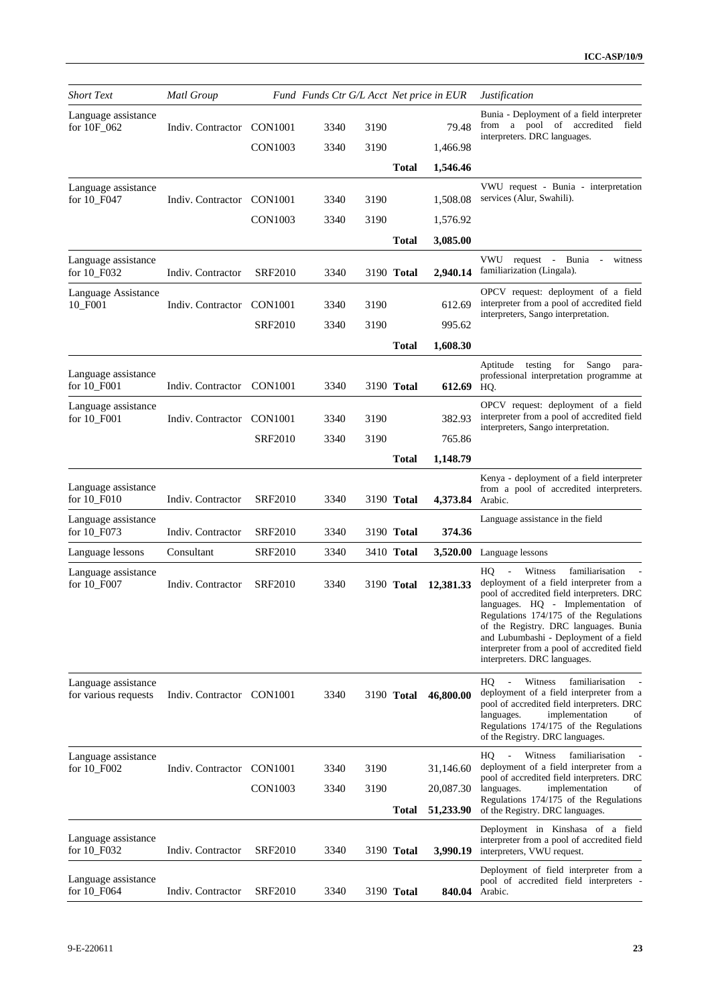| <b>Short Text</b>                           | Matl Group                |                |      |      | Fund Funds Ctr G/L Acct Net price in EUR |                       | <i>Justification</i>                                                                                                                                                                                                                                                                                                                                                        |
|---------------------------------------------|---------------------------|----------------|------|------|------------------------------------------|-----------------------|-----------------------------------------------------------------------------------------------------------------------------------------------------------------------------------------------------------------------------------------------------------------------------------------------------------------------------------------------------------------------------|
| Language assistance<br>for 10F_062          | Indiv. Contractor         | <b>CON1001</b> | 3340 | 3190 |                                          | 79.48                 | Bunia - Deployment of a field interpreter<br>from a pool of accredited field<br>interpreters. DRC languages.                                                                                                                                                                                                                                                                |
|                                             |                           | CON1003        | 3340 | 3190 |                                          | 1,466.98              |                                                                                                                                                                                                                                                                                                                                                                             |
|                                             |                           |                |      |      | Total                                    | 1,546.46              |                                                                                                                                                                                                                                                                                                                                                                             |
| Language assistance<br>for 10_F047          | Indiv. Contractor         | <b>CON1001</b> | 3340 | 3190 |                                          | 1,508.08              | VWU request - Bunia - interpretation<br>services (Alur, Swahili).                                                                                                                                                                                                                                                                                                           |
|                                             |                           | <b>CON1003</b> | 3340 | 3190 |                                          | 1,576.92              |                                                                                                                                                                                                                                                                                                                                                                             |
|                                             |                           |                |      |      | Total                                    | 3,085.00              |                                                                                                                                                                                                                                                                                                                                                                             |
| Language assistance<br>for 10_F032          | Indiv. Contractor         | <b>SRF2010</b> | 3340 |      | 3190 <b>Total</b>                        | 2,940.14              | VWU request - Bunia -<br>witness<br>familiarization (Lingala).                                                                                                                                                                                                                                                                                                              |
| Language Assistance<br>10_F001              | Indiv. Contractor         | <b>CON1001</b> | 3340 | 3190 |                                          | 612.69                | OPCV request: deployment of a field<br>interpreter from a pool of accredited field<br>interpreters, Sango interpretation.                                                                                                                                                                                                                                                   |
|                                             |                           | <b>SRF2010</b> | 3340 | 3190 |                                          | 995.62                |                                                                                                                                                                                                                                                                                                                                                                             |
|                                             |                           |                |      |      | Total                                    | 1,608.30              |                                                                                                                                                                                                                                                                                                                                                                             |
| Language assistance<br>for 10_F001          | Indiv. Contractor         | <b>CON1001</b> | 3340 |      | 3190 Total                               | 612.69                | Sango para-<br>Aptitude testing for<br>professional interpretation programme at<br>HQ.                                                                                                                                                                                                                                                                                      |
| Language assistance<br>for 10_F001          | Indiv. Contractor         | <b>CON1001</b> | 3340 | 3190 |                                          | 382.93                | OPCV request: deployment of a field<br>interpreter from a pool of accredited field<br>interpreters, Sango interpretation.                                                                                                                                                                                                                                                   |
|                                             |                           | SRF2010        | 3340 | 3190 |                                          | 765.86                |                                                                                                                                                                                                                                                                                                                                                                             |
|                                             |                           |                |      |      | Total                                    | 1,148.79              |                                                                                                                                                                                                                                                                                                                                                                             |
| Language assistance<br>for 10_F010          | Indiv. Contractor         | <b>SRF2010</b> | 3340 |      | 3190 Total                               | 4,373.84              | Kenya - deployment of a field interpreter<br>from a pool of accredited interpreters.<br>Arabic.                                                                                                                                                                                                                                                                             |
| Language assistance<br>for 10_F073          | Indiv. Contractor         | SRF2010        | 3340 |      | 3190 Total                               | 374.36                | Language assistance in the field                                                                                                                                                                                                                                                                                                                                            |
| Language lessons                            | Consultant                | <b>SRF2010</b> | 3340 |      | 3410 Total                               |                       | 3,520.00 Language lessons                                                                                                                                                                                                                                                                                                                                                   |
| Language assistance<br>for 10_F007          | Indiv. Contractor         | <b>SRF2010</b> | 3340 |      | 3190 Total                               | 12,381.33             | familiarisation<br>Witness<br>HQ<br>deployment of a field interpreter from a<br>pool of accredited field interpreters. DRC<br>languages. HQ - Implementation of<br>Regulations 174/175 of the Regulations<br>of the Registry. DRC languages. Bunia<br>and Lubumbashi - Deployment of a field<br>interpreter from a pool of accredited field<br>interpreters. DRC languages. |
| Language assistance<br>for various requests | Indiv. Contractor CON1001 |                | 3340 |      | 3190 Total                               | 46,800.00             | Witness<br>familiarisation<br>HQ.<br>$\sim$<br>deployment of a field interpreter from a<br>pool of accredited field interpreters. DRC<br>implementation<br>languages.<br>οf<br>Regulations 174/175 of the Regulations<br>of the Registry. DRC languages.                                                                                                                    |
| Language assistance<br>for 10_F002          | Indiv. Contractor         | CON1001        | 3340 | 3190 |                                          | 31,146.60             | HQ<br>Witness<br>familiarisation<br>deployment of a field interpreter from a                                                                                                                                                                                                                                                                                                |
|                                             |                           | <b>CON1003</b> | 3340 | 3190 | 20,087.30                                |                       | pool of accredited field interpreters. DRC<br>languages.<br>implementation<br>of                                                                                                                                                                                                                                                                                            |
|                                             |                           |                |      |      | <b>Total</b>                             | 51,233.90             | Regulations 174/175 of the Regulations<br>of the Registry. DRC languages.                                                                                                                                                                                                                                                                                                   |
| Language assistance<br>for 10_F032          | Indiv. Contractor         | SRF2010        | 3340 |      | 3190 Total                               | 3,990.19              | Deployment in Kinshasa of a field<br>interpreter from a pool of accredited field<br>interpreters, VWU request.                                                                                                                                                                                                                                                              |
| Language assistance<br>for 10_F064          | Indiv. Contractor         | <b>SRF2010</b> | 3340 |      | 3190 Total                               | <b>840.04</b> Arabic. | Deployment of field interpreter from a<br>pool of accredited field interpreters -                                                                                                                                                                                                                                                                                           |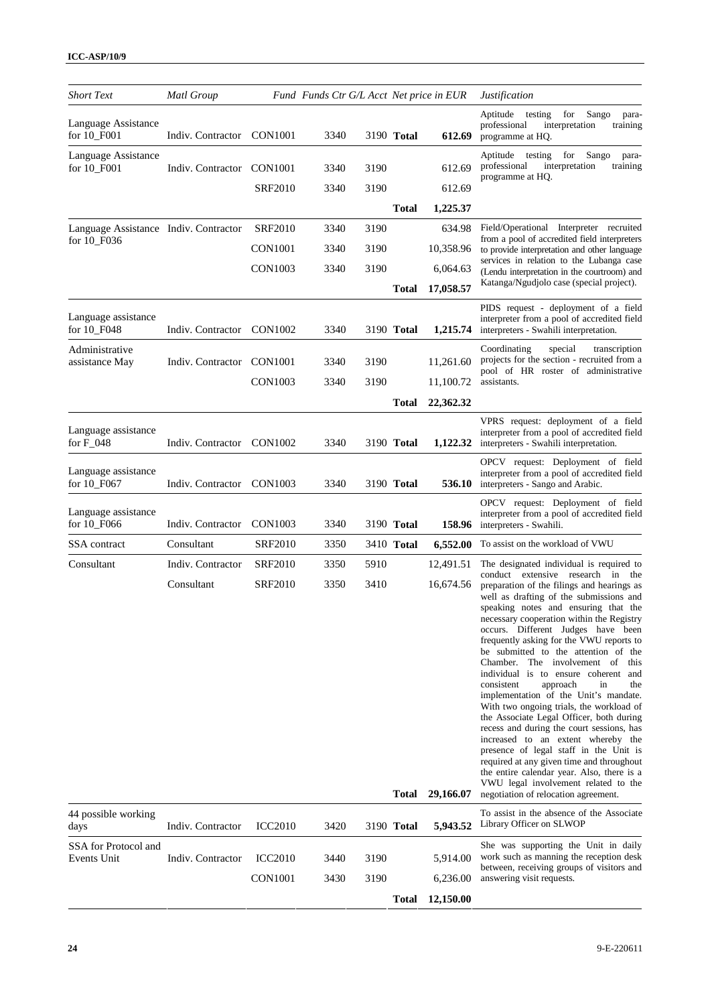| <b>Short Text</b>                     | Matl Group        |                | Fund Funds Ctr G/L Acct Net price in EUR |      |              |                        | <i>Justification</i>                                                                                                                                                                                                                                                                                                                                                                                                                                                                                                                                                                                                                                                                                                                                                                                                                                                                                     |
|---------------------------------------|-------------------|----------------|------------------------------------------|------|--------------|------------------------|----------------------------------------------------------------------------------------------------------------------------------------------------------------------------------------------------------------------------------------------------------------------------------------------------------------------------------------------------------------------------------------------------------------------------------------------------------------------------------------------------------------------------------------------------------------------------------------------------------------------------------------------------------------------------------------------------------------------------------------------------------------------------------------------------------------------------------------------------------------------------------------------------------|
| Language Assistance<br>for 10_F001    | Indiv. Contractor | CON1001        | 3340                                     |      | 3190 Total   | 612.69                 | for<br>testing<br>Sango<br>Aptitude<br>para-<br>professional<br>interpretation<br>training<br>programme at HQ.                                                                                                                                                                                                                                                                                                                                                                                                                                                                                                                                                                                                                                                                                                                                                                                           |
| Language Assistance<br>for 10_F001    | Indiv. Contractor | <b>CON1001</b> | 3340                                     | 3190 |              | 612.69                 | for<br>Sango<br>Aptitude testing<br>para-<br>professional<br>interpretation<br>training<br>programme at HQ.                                                                                                                                                                                                                                                                                                                                                                                                                                                                                                                                                                                                                                                                                                                                                                                              |
|                                       |                   | SRF2010        | 3340                                     | 3190 |              | 612.69                 |                                                                                                                                                                                                                                                                                                                                                                                                                                                                                                                                                                                                                                                                                                                                                                                                                                                                                                          |
|                                       |                   |                |                                          |      | Total        | 1,225.37               |                                                                                                                                                                                                                                                                                                                                                                                                                                                                                                                                                                                                                                                                                                                                                                                                                                                                                                          |
| Language Assistance Indiv. Contractor |                   | <b>SRF2010</b> | 3340                                     | 3190 |              | 634.98                 | Field/Operational Interpreter recruited<br>from a pool of accredited field interpreters                                                                                                                                                                                                                                                                                                                                                                                                                                                                                                                                                                                                                                                                                                                                                                                                                  |
| for 10_F036                           |                   | CON1001        | 3340                                     | 3190 |              | 10,358.96              | to provide interpretation and other language                                                                                                                                                                                                                                                                                                                                                                                                                                                                                                                                                                                                                                                                                                                                                                                                                                                             |
|                                       |                   | <b>CON1003</b> | 3340                                     | 3190 |              | 6,064.63               | services in relation to the Lubanga case<br>(Lendu interpretation in the courtroom) and<br>Katanga/Ngudjolo case (special project).                                                                                                                                                                                                                                                                                                                                                                                                                                                                                                                                                                                                                                                                                                                                                                      |
|                                       |                   |                |                                          |      | Total        | 17,058.57              |                                                                                                                                                                                                                                                                                                                                                                                                                                                                                                                                                                                                                                                                                                                                                                                                                                                                                                          |
| Language assistance<br>for 10_F048    | Indiv. Contractor | <b>CON1002</b> | 3340                                     |      | 3190 Total   | 1,215.74               | PIDS request - deployment of a field<br>interpreter from a pool of accredited field<br>interpreters - Swahili interpretation.                                                                                                                                                                                                                                                                                                                                                                                                                                                                                                                                                                                                                                                                                                                                                                            |
| Administrative                        |                   |                |                                          |      |              |                        | Coordinating<br>special<br>transcription<br>projects for the section - recruited from a                                                                                                                                                                                                                                                                                                                                                                                                                                                                                                                                                                                                                                                                                                                                                                                                                  |
| assistance May                        | Indiv. Contractor | <b>CON1001</b> | 3340                                     | 3190 |              | 11,261.60              | pool of HR roster of administrative                                                                                                                                                                                                                                                                                                                                                                                                                                                                                                                                                                                                                                                                                                                                                                                                                                                                      |
|                                       |                   | CON1003        | 3340                                     | 3190 |              | 11,100.72              | assistants.                                                                                                                                                                                                                                                                                                                                                                                                                                                                                                                                                                                                                                                                                                                                                                                                                                                                                              |
|                                       |                   |                |                                          |      | Total        | 22,362.32              |                                                                                                                                                                                                                                                                                                                                                                                                                                                                                                                                                                                                                                                                                                                                                                                                                                                                                                          |
| Language assistance<br>for $F_048$    | Indiv. Contractor | CON1002        | 3340                                     |      | 3190 Total   | 1,122.32               | VPRS request: deployment of a field<br>interpreter from a pool of accredited field<br>interpreters - Swahili interpretation.                                                                                                                                                                                                                                                                                                                                                                                                                                                                                                                                                                                                                                                                                                                                                                             |
| Language assistance<br>for 10_F067    | Indiv. Contractor | <b>CON1003</b> | 3340                                     |      | 3190 Total   | 536.10                 | OPCV request: Deployment of field<br>interpreter from a pool of accredited field<br>interpreters - Sango and Arabic.                                                                                                                                                                                                                                                                                                                                                                                                                                                                                                                                                                                                                                                                                                                                                                                     |
| Language assistance<br>for 10 F066    | Indiv. Contractor | <b>CON1003</b> | 3340                                     |      | 3190 Total   | 158.96                 | OPCV request: Deployment of field<br>interpreter from a pool of accredited field<br>interpreters - Swahili.                                                                                                                                                                                                                                                                                                                                                                                                                                                                                                                                                                                                                                                                                                                                                                                              |
| SSA contract                          | Consultant        | <b>SRF2010</b> | 3350                                     |      | 3410 Total   | 6,552.00               | To assist on the workload of VWU                                                                                                                                                                                                                                                                                                                                                                                                                                                                                                                                                                                                                                                                                                                                                                                                                                                                         |
| Consultant                            | Indiv. Contractor | <b>SRF2010</b> | 3350                                     | 5910 |              | 12,491.51              | The designated individual is required to                                                                                                                                                                                                                                                                                                                                                                                                                                                                                                                                                                                                                                                                                                                                                                                                                                                                 |
|                                       | Consultant        | <b>SRF2010</b> | 3350                                     | 3410 | Total        | 16,674.56<br>29,166.07 | conduct extensive research in the<br>preparation of the filings and hearings as<br>well as drafting of the submissions and<br>speaking notes and ensuring that the<br>necessary cooperation within the Registry<br>occurs. Different Judges have been<br>frequently asking for the VWU reports to<br>be submitted to the attention of the<br>Chamber. The involvement of<br>this<br>individual is to ensure coherent and<br>consistent<br>approach<br>in<br>the<br>implementation of the Unit's mandate.<br>With two ongoing trials, the workload of<br>the Associate Legal Officer, both during<br>recess and during the court sessions, has<br>increased to an extent whereby the<br>presence of legal staff in the Unit is<br>required at any given time and throughout<br>the entire calendar year. Also, there is a<br>VWU legal involvement related to the<br>negotiation of relocation agreement. |
| 44 possible working<br>days           | Indiv. Contractor | <b>ICC2010</b> | 3420                                     |      | 3190 Total   | 5,943.52               | To assist in the absence of the Associate<br>Library Officer on SLWOP                                                                                                                                                                                                                                                                                                                                                                                                                                                                                                                                                                                                                                                                                                                                                                                                                                    |
| SSA for Protocol and<br>Events Unit   | Indiv. Contractor | <b>ICC2010</b> | 3440                                     | 3190 |              | 5,914.00               | She was supporting the Unit in daily<br>work such as manning the reception desk                                                                                                                                                                                                                                                                                                                                                                                                                                                                                                                                                                                                                                                                                                                                                                                                                          |
|                                       |                   | <b>CON1001</b> | 3430                                     | 3190 |              | 6,236.00               | between, receiving groups of visitors and<br>answering visit requests.                                                                                                                                                                                                                                                                                                                                                                                                                                                                                                                                                                                                                                                                                                                                                                                                                                   |
|                                       |                   |                |                                          |      | <b>Total</b> | 12,150.00              |                                                                                                                                                                                                                                                                                                                                                                                                                                                                                                                                                                                                                                                                                                                                                                                                                                                                                                          |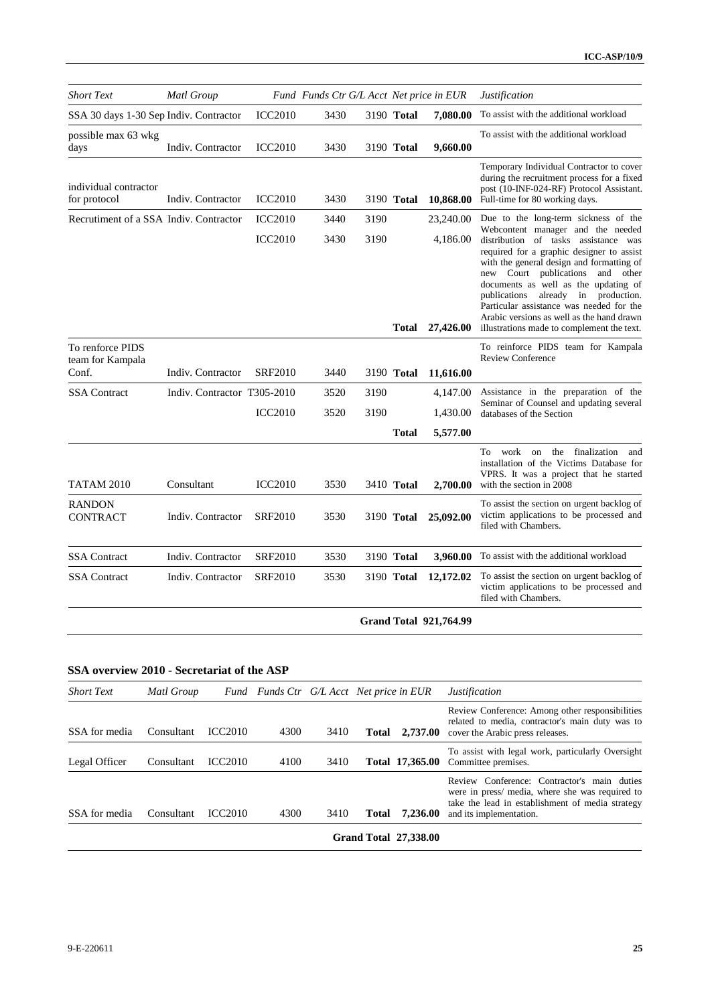| <b>Short Text</b>                      | Matl Group                  |                | Fund Funds Ctr G/L Acct Net price in EUR |      |              |                               | <i>Justification</i>                                                                                                                                                                                                                                                                                                                             |
|----------------------------------------|-----------------------------|----------------|------------------------------------------|------|--------------|-------------------------------|--------------------------------------------------------------------------------------------------------------------------------------------------------------------------------------------------------------------------------------------------------------------------------------------------------------------------------------------------|
| SSA 30 days 1-30 Sep Indiv. Contractor |                             | <b>ICC2010</b> | 3430                                     |      | 3190 Total   | 7,080.00                      | To assist with the additional workload                                                                                                                                                                                                                                                                                                           |
| possible max 63 wkg<br>days            | Indiv. Contractor           | <b>ICC2010</b> | 3430                                     |      | 3190 Total   | 9,660.00                      | To assist with the additional workload                                                                                                                                                                                                                                                                                                           |
| individual contractor<br>for protocol  | Indiv. Contractor           | <b>ICC2010</b> | 3430                                     |      | 3190 Total   | 10,868.00                     | Temporary Individual Contractor to cover<br>during the recruitment process for a fixed<br>post (10-INF-024-RF) Protocol Assistant.<br>Full-time for 80 working days.                                                                                                                                                                             |
| Recrutiment of a SSA Indiv. Contractor |                             | <b>ICC2010</b> | 3440                                     | 3190 |              | 23,240.00                     | Due to the long-term sickness of the<br>Webcontent manager and the needed                                                                                                                                                                                                                                                                        |
|                                        |                             | <b>ICC2010</b> | 3430                                     | 3190 | Total        | 4,186.00                      | distribution of tasks assistance was<br>required for a graphic designer to assist<br>with the general design and formatting of<br>new Court publications<br>and other<br>documents as well as the updating of<br>publications<br>already in production.<br>Particular assistance was needed for the<br>Arabic versions as well as the hand drawn |
| To renforce PIDS                       |                             |                |                                          |      |              | 27,426.00                     | illustrations made to complement the text.<br>To reinforce PIDS team for Kampala                                                                                                                                                                                                                                                                 |
| team for Kampala<br>Conf.              | Indiv. Contractor           | <b>SRF2010</b> | 3440                                     |      | 3190 Total   | 11,616.00                     | <b>Review Conference</b>                                                                                                                                                                                                                                                                                                                         |
| <b>SSA</b> Contract                    | Indiv. Contractor T305-2010 |                | 3520                                     | 3190 |              | 4,147.00                      | Assistance in the preparation of the                                                                                                                                                                                                                                                                                                             |
|                                        |                             | <b>ICC2010</b> | 3520                                     | 3190 |              | 1,430.00                      | Seminar of Counsel and updating several<br>databases of the Section                                                                                                                                                                                                                                                                              |
|                                        |                             |                |                                          |      | <b>Total</b> | 5,577.00                      |                                                                                                                                                                                                                                                                                                                                                  |
| TATAM 2010                             | Consultant                  | <b>ICC2010</b> | 3530                                     |      | 3410 Total   | 2,700.00                      | To work on the finalization<br>and<br>installation of the Victims Database for<br>VPRS. It was a project that he started<br>with the section in 2008                                                                                                                                                                                             |
| <b>RANDON</b><br><b>CONTRACT</b>       | Indiv. Contractor           | <b>SRF2010</b> | 3530                                     |      | 3190 Total   | 25,092.00                     | To assist the section on urgent backlog of<br>victim applications to be processed and<br>filed with Chambers.                                                                                                                                                                                                                                    |
| <b>SSA</b> Contract                    | Indiv. Contractor           | <b>SRF2010</b> | 3530                                     |      | 3190 Total   | 3,960.00                      | To assist with the additional workload                                                                                                                                                                                                                                                                                                           |
| <b>SSA</b> Contract                    | Indiv. Contractor           | <b>SRF2010</b> | 3530                                     |      | 3190 Total   | 12,172.02                     | To assist the section on urgent backlog of<br>victim applications to be processed and<br>filed with Chambers.                                                                                                                                                                                                                                    |
|                                        |                             |                |                                          |      |              | <b>Grand Total 921,764.99</b> |                                                                                                                                                                                                                                                                                                                                                  |

## **SSA overview 2010 - Secretariat of the ASP**

| <b>Short Text</b> | Matl Group |                |      |      | Fund Funds Ctr G/L Acct Net price in EUR |                              | <i>Justification</i>                                                                                                                                                          |
|-------------------|------------|----------------|------|------|------------------------------------------|------------------------------|-------------------------------------------------------------------------------------------------------------------------------------------------------------------------------|
| SSA for media     | Consultant | <b>ICC2010</b> | 4300 | 3410 | Total                                    | 2.737.00                     | Review Conference: Among other responsibilities<br>related to media, contractor's main duty was to<br>cover the Arabic press releases.                                        |
| Legal Officer     | Consultant | <b>ICC2010</b> | 4100 | 3410 |                                          | Total 17,365.00              | To assist with legal work, particularly Oversight<br>Committee premises.                                                                                                      |
| SSA for media     | Consultant | <b>ICC2010</b> | 4300 | 3410 | <b>Total</b>                             | 7,236.00                     | Review Conference: Contractor's main duties<br>were in press/ media, where she was required to<br>take the lead in establishment of media strategy<br>and its implementation. |
|                   |            |                |      |      |                                          | <b>Grand Total 27,338.00</b> |                                                                                                                                                                               |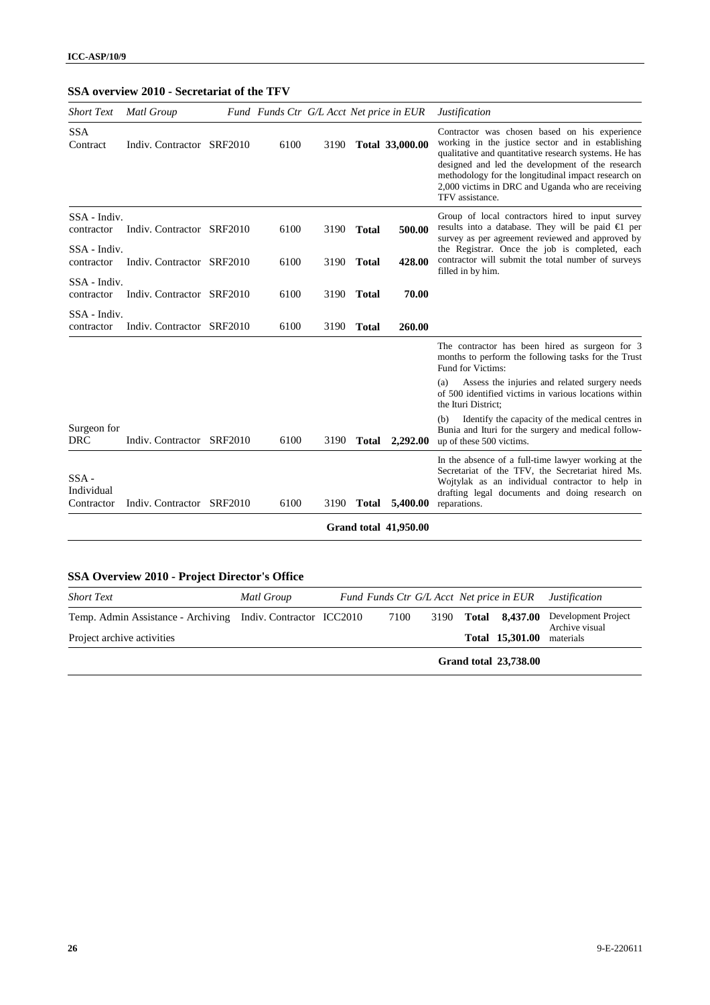## **SSA overview 2010 - Secretariat of the TFV**

| <b>Short Text</b>                   | Matl Group                | Fund Funds Ctr G/L Acct Net price in EUR |      |              |                              | Justification                                                                                                                                                                                                                                                                                                                                  |
|-------------------------------------|---------------------------|------------------------------------------|------|--------------|------------------------------|------------------------------------------------------------------------------------------------------------------------------------------------------------------------------------------------------------------------------------------------------------------------------------------------------------------------------------------------|
| <b>SSA</b><br>Contract              | Indiv. Contractor SRF2010 | 6100                                     | 3190 |              | Total 33,000.00              | Contractor was chosen based on his experience<br>working in the justice sector and in establishing<br>qualitative and quantitative research systems. He has<br>designed and led the development of the research<br>methodology for the longitudinal impact research on<br>2,000 victims in DRC and Uganda who are receiving<br>TFV assistance. |
| SSA - Indiv.<br>contractor          | Indiv. Contractor SRF2010 | 6100                                     | 3190 | <b>Total</b> | 500.00                       | Group of local contractors hired to input survey<br>results into a database. They will be paid $\bigoplus$ per<br>survey as per agreement reviewed and approved by                                                                                                                                                                             |
| SSA - Indiv.<br>contractor          | Indiv. Contractor SRF2010 | 6100                                     | 3190 | <b>Total</b> | 428.00                       | the Registrar. Once the job is completed, each<br>contractor will submit the total number of surveys<br>filled in by him.                                                                                                                                                                                                                      |
| SSA - Indiv.<br>contractor          | Indiv. Contractor SRF2010 | 6100                                     | 3190 | <b>Total</b> | 70.00                        |                                                                                                                                                                                                                                                                                                                                                |
| SSA - Indiv.<br>contractor          | Indiv. Contractor SRF2010 | 6100                                     | 3190 | <b>Total</b> | 260.00                       |                                                                                                                                                                                                                                                                                                                                                |
|                                     |                           |                                          |      |              |                              | The contractor has been hired as surgeon for 3<br>months to perform the following tasks for the Trust<br>Fund for Victims:                                                                                                                                                                                                                     |
|                                     |                           |                                          |      |              |                              | Assess the injuries and related surgery needs<br>(a)<br>of 500 identified victims in various locations within<br>the Ituri District;                                                                                                                                                                                                           |
| Surgeon for<br><b>DRC</b>           | Indiv. Contractor SRF2010 | 6100                                     | 3190 | <b>Total</b> | 2,292.00                     | Identify the capacity of the medical centres in<br>(b)<br>Bunia and Ituri for the surgery and medical follow-<br>up of these 500 victims.                                                                                                                                                                                                      |
| $SSA -$<br>Individual<br>Contractor | Indiv. Contractor SRF2010 | 6100                                     | 3190 | Total        | 5,400.00                     | In the absence of a full-time lawyer working at the<br>Secretariat of the TFV, the Secretariat hired Ms.<br>Wojtylak as an individual contractor to help in<br>drafting legal documents and doing research on<br>reparations.                                                                                                                  |
|                                     |                           |                                          |      |              | <b>Grand total 41,950.00</b> |                                                                                                                                                                                                                                                                                                                                                |

# **SSA Overview 2010 - Project Director's Office**

| <b>Short Text</b>                                            | Matl Group | Fund Funds Ctr G/L Acct Net price in EUR |  |                              | <i>Justification</i>                  |
|--------------------------------------------------------------|------------|------------------------------------------|--|------------------------------|---------------------------------------|
| Temp. Admin Assistance - Archiving Indiv. Contractor ICC2010 |            | 7100                                     |  | 3190 Total 8,437.00          | Development Project<br>Archive visual |
| Project archive activities                                   |            |                                          |  | Total 15,301.00              | materials                             |
|                                                              |            |                                          |  | <b>Grand total 23,738.00</b> |                                       |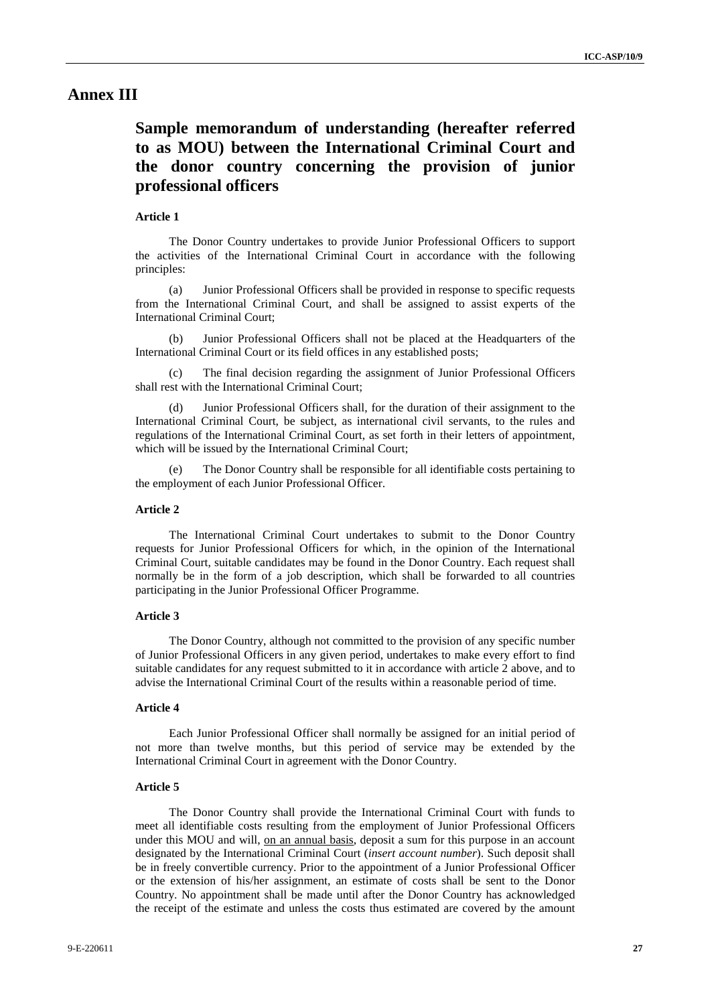## **Annex III**

# **Sample memorandum of understanding (hereafter referred to as MOU) between the International Criminal Court and the donor country concerning the provision of junior professional officers**

### **Article 1**

The Donor Country undertakes to provide Junior Professional Officers to support the activities of the International Criminal Court in accordance with the following principles:

(a) Junior Professional Officers shall be provided in response to specific requests from the International Criminal Court, and shall be assigned to assist experts of the International Criminal Court;

(b) Junior Professional Officers shall not be placed at the Headquarters of the International Criminal Court or its field offices in any established posts;

The final decision regarding the assignment of Junior Professional Officers shall rest with the International Criminal Court;

(d) Junior Professional Officers shall, for the duration of their assignment to the International Criminal Court, be subject, as international civil servants, to the rules and regulations of the International Criminal Court, as set forth in their letters of appointment, which will be issued by the International Criminal Court;

(e) The Donor Country shall be responsible for all identifiable costs pertaining to the employment of each Junior Professional Officer.

### **Article 2**

The International Criminal Court undertakes to submit to the Donor Country requests for Junior Professional Officers for which, in the opinion of the International Criminal Court, suitable candidates may be found in the Donor Country. Each request shall normally be in the form of a job description, which shall be forwarded to all countries participating in the Junior Professional Officer Programme.

#### **Article 3**

The Donor Country, although not committed to the provision of any specific number of Junior Professional Officers in any given period, undertakes to make every effort to find suitable candidates for any request submitted to it in accordance with article 2 above, and to advise the International Criminal Court of the results within a reasonable period of time.

### **Article 4**

Each Junior Professional Officer shall normally be assigned for an initial period of not more than twelve months, but this period of service may be extended by the International Criminal Court in agreement with the Donor Country.

#### **Article 5**

The Donor Country shall provide the International Criminal Court with funds to meet all identifiable costs resulting from the employment of Junior Professional Officers under this MOU and will, on an annual basis, deposit a sum for this purpose in an account designated by the International Criminal Court (*insert account number*). Such deposit shall be in freely convertible currency. Prior to the appointment of a Junior Professional Officer or the extension of his/her assignment, an estimate of costs shall be sent to the Donor Country. No appointment shall be made until after the Donor Country has acknowledged the receipt of the estimate and unless the costs thus estimated are covered by the amount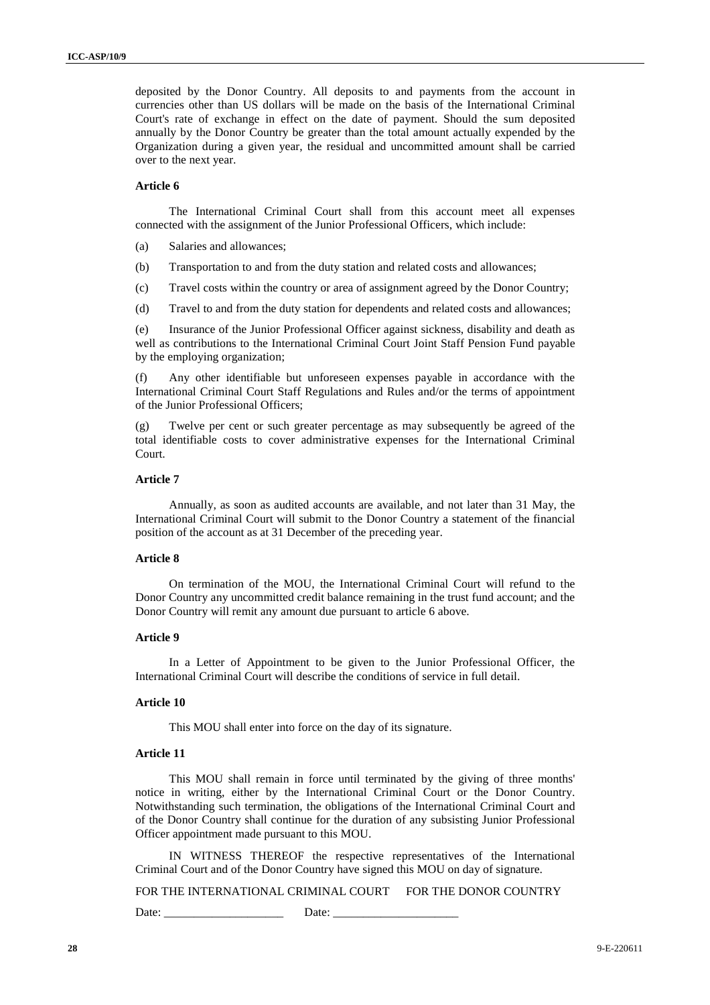deposited by the Donor Country. All deposits to and payments from the account in currencies other than US dollars will be made on the basis of the International Criminal Court's rate of exchange in effect on the date of payment. Should the sum deposited annually by the Donor Country be greater than the total amount actually expended by the Organization during a given year, the residual and uncommitted amount shall be carried over to the next year.

### **Article 6**

The International Criminal Court shall from this account meet all expenses connected with the assignment of the Junior Professional Officers, which include:

(a) Salaries and allowances;

- (b) Transportation to and from the duty station and related costs and allowances;
- (c) Travel costs within the country or area of assignment agreed by the Donor Country;
- (d) Travel to and from the duty station for dependents and related costs and allowances;

(e) Insurance of the Junior Professional Officer against sickness, disability and death as well as contributions to the International Criminal Court Joint Staff Pension Fund payable by the employing organization;

(f) Any other identifiable but unforeseen expenses payable in accordance with the International Criminal Court Staff Regulations and Rules and/or the terms of appointment of the Junior Professional Officers;

(g) Twelve per cent or such greater percentage as may subsequently be agreed of the total identifiable costs to cover administrative expenses for the International Criminal Court.

#### **Article 7**

Annually, as soon as audited accounts are available, and not later than 31 May, the International Criminal Court will submit to the Donor Country a statement of the financial position of the account as at 31 December of the preceding year.

#### **Article 8**

On termination of the MOU, the International Criminal Court will refund to the Donor Country any uncommitted credit balance remaining in the trust fund account; and the Donor Country will remit any amount due pursuant to article 6 above.

### **Article 9**

In a Letter of Appointment to be given to the Junior Professional Officer, the International Criminal Court will describe the conditions of service in full detail.

### **Article 10**

This MOU shall enter into force on the day of its signature.

### **Article 11**

This MOU shall remain in force until terminated by the giving of three months' notice in writing, either by the International Criminal Court or the Donor Country. Notwithstanding such termination, the obligations of the International Criminal Court and of the Donor Country shall continue for the duration of any subsisting Junior Professional Officer appointment made pursuant to this MOU.

IN WITNESS THEREOF the respective representatives of the International Criminal Court and of the Donor Country have signed this MOU on day of signature.

FOR THE INTERNATIONAL CRIMINAL COURT FOR THE DONOR COUNTRY

Date: \_\_\_\_\_\_\_\_\_\_\_\_\_\_\_\_\_\_\_\_ Date: \_\_\_\_\_\_\_\_\_\_\_\_\_\_\_\_\_\_\_\_\_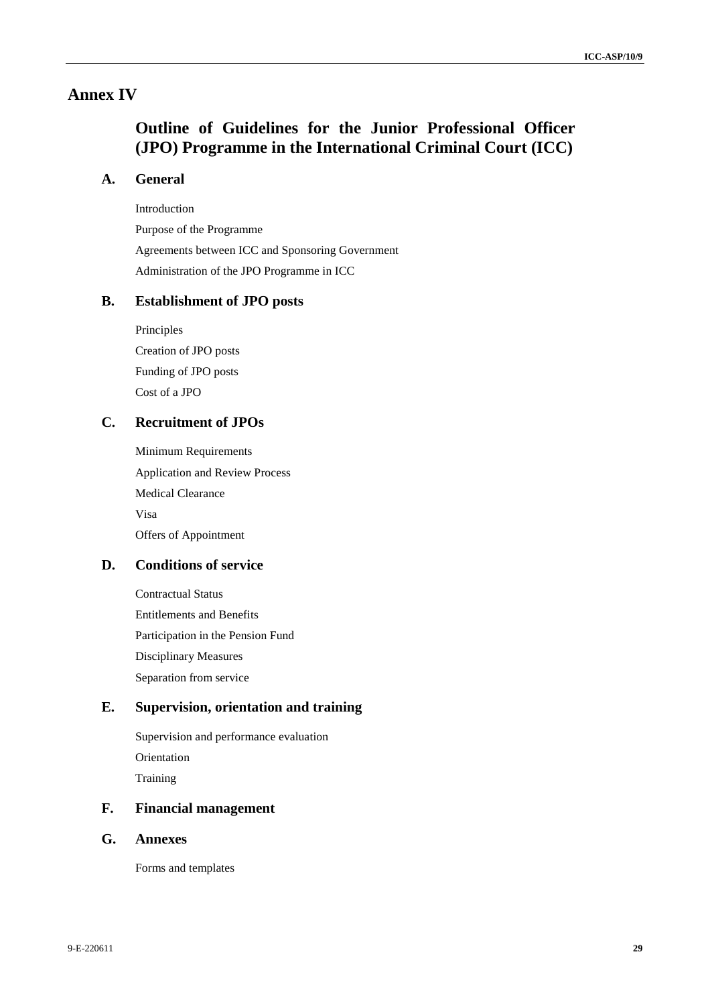## **Annex IV**

# **Outline of Guidelines for the Junior Professional Officer (JPO) Programme in the International Criminal Court (ICC)**

## **A. General**

Introduction

Purpose of the Programme Agreements between ICC and Sponsoring Government Administration of the JPO Programme in ICC

## **B. Establishment of JPO posts**

Principles Creation of JPO posts Funding of JPO posts Cost of a JPO

## **C. Recruitment of JPOs**

Minimum Requirements Application and Review Process Medical Clearance Visa Offers of Appointment

## **D. Conditions of service**

Contractual Status Entitlements and Benefits Participation in the Pension Fund Disciplinary Measures Separation from service

## **E. Supervision, orientation and training**

Supervision and performance evaluation Orientation Training

## **F. Financial management**

### **G. Annexes**

Forms and templates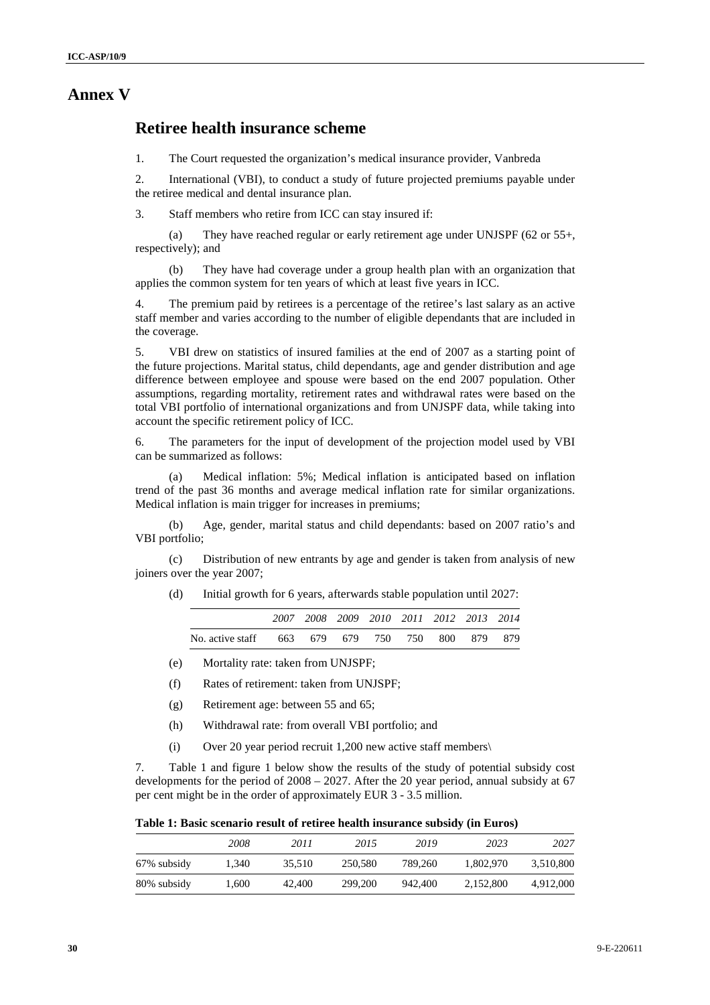## **Annex V**

## **Retiree health insurance scheme**

1. The Court requested the organization's medical insurance provider, Vanbreda

2. International (VBI), to conduct a study of future projected premiums payable under the retiree medical and dental insurance plan.

3. Staff members who retire from ICC can stay insured if:

(a) They have reached regular or early retirement age under UNJSPF (62 or 55+, respectively); and

(b) They have had coverage under a group health plan with an organization that applies the common system for ten years of which at least five years in ICC.

4. The premium paid by retirees is a percentage of the retiree's last salary as an active staff member and varies according to the number of eligible dependants that are included in the coverage.

5. VBI drew on statistics of insured families at the end of 2007 as a starting point of the future projections. Marital status, child dependants, age and gender distribution and age difference between employee and spouse were based on the end 2007 population. Other assumptions, regarding mortality, retirement rates and withdrawal rates were based on the total VBI portfolio of international organizations and from UNJSPF data, while taking into account the specific retirement policy of ICC.

6. The parameters for the input of development of the projection model used by VBI can be summarized as follows:

(a) Medical inflation: 5%; Medical inflation is anticipated based on inflation trend of the past 36 months and average medical inflation rate for similar organizations. Medical inflation is main trigger for increases in premiums;

(b) Age, gender, marital status and child dependants: based on 2007 ratio's and VBI portfolio;

(c) Distribution of new entrants by age and gender is taken from analysis of new joiners over the year 2007;

(d) Initial growth for 6 years, afterwards stable population until 2027:

|                                                  |  | 2007 2008 2009 2010 2011 2012 2013 2014 |  |  |
|--------------------------------------------------|--|-----------------------------------------|--|--|
| No. active staff 663 679 679 750 750 800 879 879 |  |                                         |  |  |

- (e) Mortality rate: taken from UNJSPF;
- (f) Rates of retirement: taken from UNJSPF;
- (g) Retirement age: between 55 and 65;
- (h) Withdrawal rate: from overall VBI portfolio; and
- (i) Over 20 year period recruit 1,200 new active staff members\

7. Table 1 and figure 1 below show the results of the study of potential subsidy cost developments for the period of 2008 – 2027. After the 20 year period, annual subsidy at 67 per cent might be in the order of approximately EUR 3 - 3.5 million.

**Table 1: Basic scenario result of retiree health insurance subsidy (in Euros)** 

|             | 2008  | 2011   | 2015    | 2019    | 2023      | 2027      |
|-------------|-------|--------|---------|---------|-----------|-----------|
| 67% subsidy | 1.340 | 35.510 | 250,580 | 789.260 | 1.802.970 | 3,510,800 |
| 80% subsidy | 1.600 | 42,400 | 299,200 | 942,400 | 2.152.800 | 4,912,000 |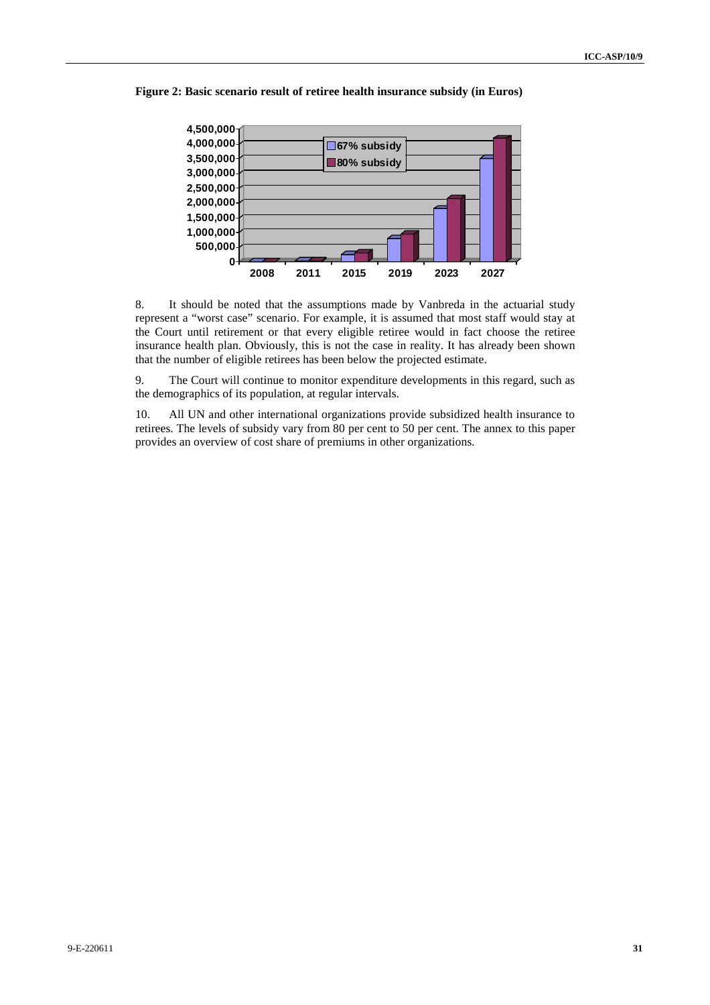

**Figure 2: Basic scenario result of retiree health insurance subsidy (in Euros)** 

8. It should be noted that the assumptions made by Vanbreda in the actuarial study represent a "worst case" scenario. For example, it is assumed that most staff would stay at the Court until retirement or that every eligible retiree would in fact choose the retiree insurance health plan. Obviously, this is not the case in reality. It has already been shown that the number of eligible retirees has been below the projected estimate.

9. The Court will continue to monitor expenditure developments in this regard, such as the demographics of its population, at regular intervals.

10. All UN and other international organizations provide subsidized health insurance to retirees. The levels of subsidy vary from 80 per cent to 50 per cent. The annex to this paper provides an overview of cost share of premiums in other organizations.